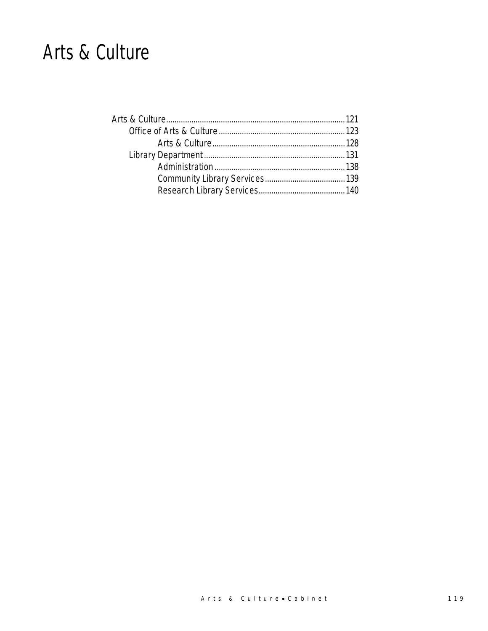### Arts & Culture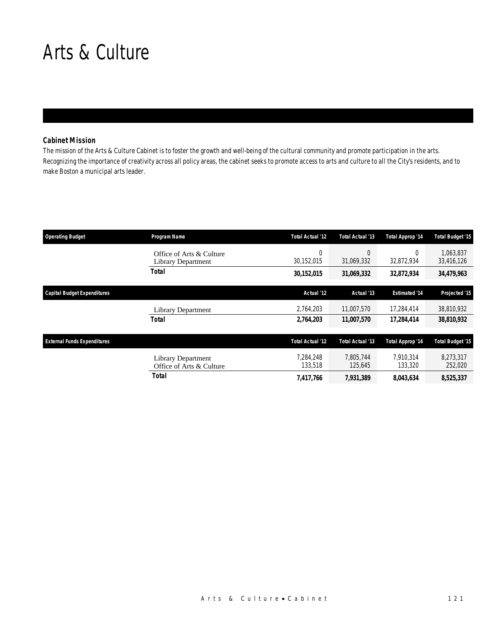### Arts & Culture

### *Cabinet Mission*

The mission of the Arts & Culture Cabinet is to foster the growth and well-being of the cultural community and promote participation in the arts. Recognizing the importance of creativity across all policy areas, the cabinet seeks to promote access to arts and culture to all the City's residents, and to make Boston a municipal arts leader.

| <b>Operating Budget</b>            | Program Name                                          | <b>Total Actual '12</b> | Total Actual '13     | Total Approp '14       | <b>Total Budget '15</b> |
|------------------------------------|-------------------------------------------------------|-------------------------|----------------------|------------------------|-------------------------|
|                                    | Office of Arts & Culture<br><b>Library Department</b> | 0<br>30,152,015         | 0<br>31,069,332      | $\Omega$<br>32,872,934 | 1.063.837<br>33,416,126 |
|                                    | <b>Total</b>                                          | 30,152,015              | 31,069,332           | 32,872,934             | 34,479,963              |
| <b>Capital Budget Expenditures</b> |                                                       | Actual '12              | Actual '13           | <b>Estimated '14</b>   | Projected '15           |
|                                    | Library Department                                    | 2,764,203               | 11,007,570           | 17,284,414             | 38,810,932              |
|                                    | <b>Total</b>                                          | 2,764,203               | 11,007,570           | 17,284,414             | 38,810,932              |
| <b>External Funds Expenditures</b> |                                                       | <b>Total Actual '12</b> | Total Actual '13     | Total Approp '14       | <b>Total Budget '15</b> |
|                                    | <b>Library Department</b><br>Office of Arts & Culture | 7,284,248<br>133,518    | 7.805.744<br>125,645 | 7.910.314<br>133,320   | 8,273,317<br>252,020    |
|                                    | Total                                                 | 7,417,766               | 7,931,389            | 8,043,634              | 8,525,337               |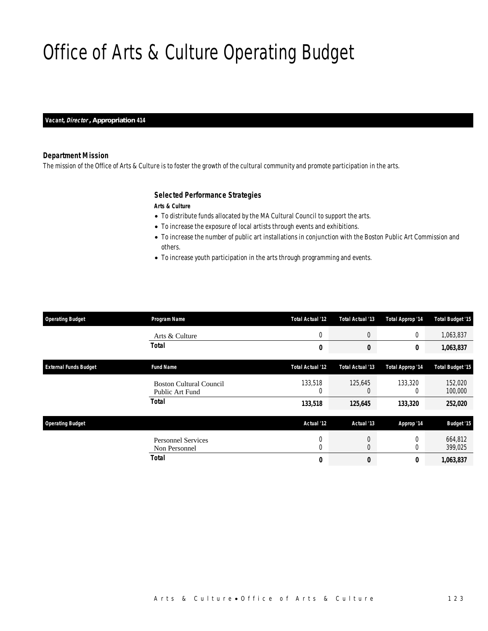## Office of Arts & Culture Operating Budget

*Vacant, Director , Appropriation 414* 

### *Department Mission*

The mission of the Office of Arts & Culture is to foster the growth of the cultural community and promote participation in the arts.

### *Selected Performance Strategies*

*Arts & Culture* 

- To distribute funds allocated by the MA Cultural Council to support the arts.
- To increase the exposure of local artists through events and exhibitions.
- To increase the number of public art installations in conjunction with the Boston Public Art Commission and others.
- To increase youth participation in the arts through programming and events.

| <b>Operating Budget</b>      | Program Name                                      | Total Actual '12    | Total Actual '13                 | <b>Total Approp '14</b> | <b>Total Budget '15</b> |
|------------------------------|---------------------------------------------------|---------------------|----------------------------------|-------------------------|-------------------------|
|                              | Arts & Culture                                    | 0                   | $\theta$                         | $\mathbf 0$             | 1,063,837               |
|                              | <b>Total</b>                                      | 0                   | 0                                | 0                       | 1,063,837               |
| <b>External Funds Budget</b> | <b>Fund Name</b>                                  | Total Actual '12    | Total Actual '13                 | <b>Total Approp '14</b> | <b>Total Budget '15</b> |
|                              | <b>Boston Cultural Council</b><br>Public Art Fund | 133,518<br>0        | 125,645<br>$\theta$              | 133,320<br>$\Omega$     | 152,020<br>100,000      |
|                              | <b>Total</b>                                      | 133,518             | 125,645                          | 133,320                 | 252,020                 |
| <b>Operating Budget</b>      |                                                   | Actual '12          | Actual '13                       | Approp '14              | <b>Budget '15</b>       |
|                              | <b>Personnel Services</b><br>Non Personnel        | 0<br>$\overline{0}$ | $\overline{0}$<br>$\overline{0}$ | $\theta$<br>$\Omega$    | 664,812<br>399,025      |
|                              | <b>Total</b>                                      | 0                   | 0                                | 0                       | 1,063,837               |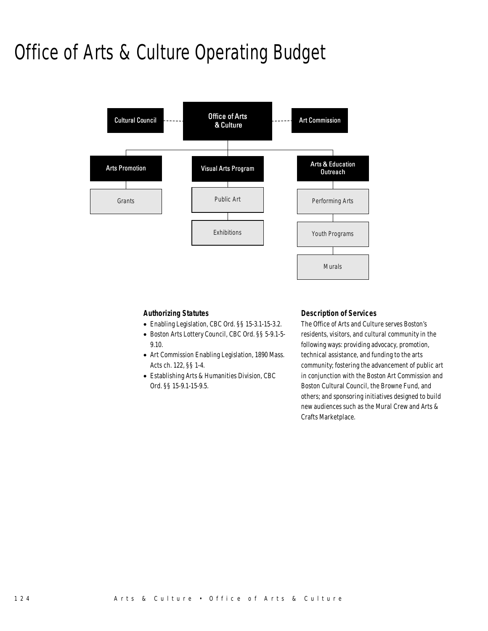# Office of Arts & Culture Operating Budget



### *Authorizing Statutes*

- Enabling Legislation, CBC Ord. §§ 15-3.1-15-3.2.
- Boston Arts Lottery Council, CBC Ord. §§ 5-9.1-5- 9.10.
- Art Commission Enabling Legislation, 1890 Mass. Acts ch. 122, §§ 1-4.
- Establishing Arts & Humanities Division, CBC Ord. §§ 15-9.1-15-9.5.

### *Description of Services*

The Office of Arts and Culture serves Boston's residents, visitors, and cultural community in the following ways: providing advocacy, promotion, technical assistance, and funding to the arts community; fostering the advancement of public art in conjunction with the Boston Art Commission and Boston Cultural Council, the Browne Fund, and others; and sponsoring initiatives designed to build new audiences such as the Mural Crew and Arts & Crafts Marketplace.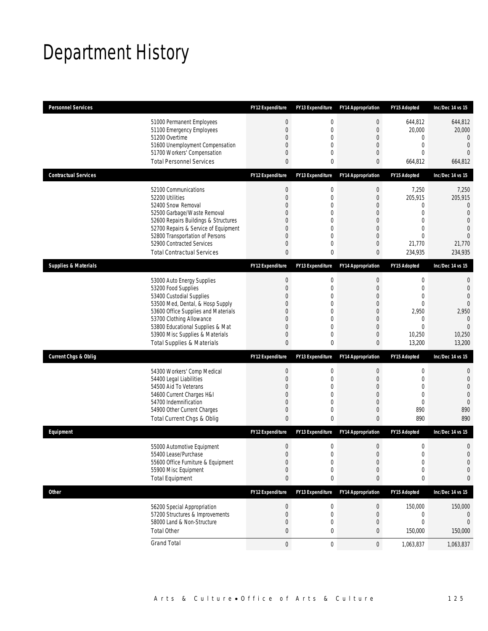## Department History

| <b>Personnel Services</b>       |                                                                                                                                                                                                                                                                                                      | <b>FY12 Expenditure</b>                                                             | <b>FY13 Expenditure</b>                                                                        | <b>FY14 Appropriation</b>                                                                                                                     | <b>FY15 Adopted</b>                                                                  | Inc/Dec 14 vs 15                                                                                                          |
|---------------------------------|------------------------------------------------------------------------------------------------------------------------------------------------------------------------------------------------------------------------------------------------------------------------------------------------------|-------------------------------------------------------------------------------------|------------------------------------------------------------------------------------------------|-----------------------------------------------------------------------------------------------------------------------------------------------|--------------------------------------------------------------------------------------|---------------------------------------------------------------------------------------------------------------------------|
|                                 | 51000 Permanent Employees<br>51100 Emergency Employees<br>51200 Overtime<br>51600 Unemployment Compensation<br>51700 Workers' Compensation<br><b>Total Personnel Services</b>                                                                                                                        | 0<br>$\overline{0}$<br>$\overline{0}$<br>0<br>0<br>0                                | $\mathbf 0$<br>$\overline{0}$<br>$\overline{0}$<br>0<br>$\Omega$<br>0                          | $\boldsymbol{0}$<br>$\overline{0}$<br>$\boldsymbol{0}$<br>$\theta$<br>$\theta$<br>$\mathbf{0}$                                                | 644,812<br>20,000<br>0<br>0<br>$\Omega$<br>664,812                                   | 644,812<br>20,000<br>$\theta$<br>$\overline{0}$<br>$\Omega$<br>664,812                                                    |
| <b>Contractual Services</b>     |                                                                                                                                                                                                                                                                                                      | FY12 Expenditure                                                                    | FY13 Expenditure                                                                               | <b>FY14 Appropriation</b>                                                                                                                     | <b>FY15 Adopted</b>                                                                  | Inc/Dec 14 vs 15                                                                                                          |
|                                 | 52100 Communications<br>52200 Utilities<br>52400 Snow Removal<br>52500 Garbage/Waste Removal<br>52600 Repairs Buildings & Structures<br>52700 Repairs & Service of Equipment<br>52800 Transportation of Persons<br>52900 Contracted Services<br><b>Total Contractual Services</b>                    | $\boldsymbol{0}$<br>$\overline{0}$<br>$\Omega$<br>0<br>$\Omega$<br>0<br>0<br>0<br>0 | 0<br>$\overline{0}$<br>$\Omega$<br>0<br>$\Omega$<br>$\overline{0}$<br>$\overline{0}$<br>0<br>0 | $\boldsymbol{0}$<br>$\overline{0}$<br>$\theta$<br>$\boldsymbol{0}$<br>$\overline{0}$<br>$\overline{0}$<br>$\overline{0}$<br>$\theta$<br>0     | 7,250<br>205,915<br>0<br>0<br>0<br>0<br>0<br>21,770<br>234,935                       | 7,250<br>205,915<br>$\overline{0}$<br>$\overline{0}$<br>$\overline{0}$<br>$\overline{0}$<br>$\Omega$<br>21,770<br>234,935 |
| <b>Supplies &amp; Materials</b> |                                                                                                                                                                                                                                                                                                      | FY12 Expenditure                                                                    | FY13 Expenditure                                                                               | <b>FY14 Appropriation</b>                                                                                                                     | FY15 Adopted                                                                         | Inc/Dec 14 vs 15                                                                                                          |
|                                 | 53000 Auto Energy Supplies<br>53200 Food Supplies<br>53400 Custodial Supplies<br>53500 Med, Dental, & Hosp Supply<br>53600 Office Supplies and Materials<br>53700 Clothing Allowance<br>53800 Educational Supplies & Mat<br>53900 Misc Supplies & Materials<br><b>Total Supplies &amp; Materials</b> | 0<br>$\overline{0}$<br>0<br>0<br>$\Omega$<br>$\Omega$<br>0<br>0<br>0                | $\mathbf 0$<br>$\overline{0}$<br>0<br>$\overline{0}$<br>0<br>0<br>$\overline{0}$<br>0<br>0     | $\mathbf 0$<br>$\overline{0}$<br>$\overline{0}$<br>$\overline{0}$<br>$\overline{0}$<br>$\theta$<br>$\overline{0}$<br>$\theta$<br>$\mathbf{0}$ | 0<br>$\overline{0}$<br>0<br>0<br>2,950<br>0<br>0<br>10,250<br>13,200                 | 0<br>$\overline{0}$<br>$\overline{0}$<br>$\Omega$<br>2,950<br>$\mathbf{0}$<br>$\overline{0}$<br>10,250<br>13,200          |
| <b>Current Chgs &amp; Oblig</b> |                                                                                                                                                                                                                                                                                                      | <b>FY12 Expenditure</b>                                                             | FY13 Expenditure                                                                               | <b>FY14 Appropriation</b>                                                                                                                     | <b>FY15 Adopted</b>                                                                  | Inc/Dec 14 vs 15                                                                                                          |
|                                 | 54300 Workers' Comp Medical<br>54400 Legal Liabilities<br>54500 Aid To Veterans<br>54600 Current Charges H&I<br>54700 Indemnification<br>54900 Other Current Charges<br>Total Current Chgs & Oblig                                                                                                   | 0<br>$\mathbf 0$<br>0<br>0<br>0<br>0<br>$\mathbf{0}$                                | 0<br>$\overline{0}$<br>0<br>$\overline{0}$<br>$\overline{0}$<br>0<br>0                         | $\mathbf 0$<br>$\overline{0}$<br>$\overline{0}$<br>$\overline{0}$<br>$\overline{0}$<br>$\theta$<br>$\mathbf{0}$                               | 0<br>$\mathbf 0$<br>$\overline{0}$<br>$\overline{0}$<br>$\overline{0}$<br>890<br>890 | $\mathbf 0$<br>$\mathbf 0$<br>$\overline{0}$<br>$\overline{0}$<br>$\mathbf{0}$<br>890<br>890                              |
| Equipment                       |                                                                                                                                                                                                                                                                                                      | <b>FY12 Expenditure</b>                                                             | <b>FY13 Expenditure</b>                                                                        | <b>FY14 Appropriation</b>                                                                                                                     | <b>FY15 Adopted</b>                                                                  | Inc/Dec 14 vs 15                                                                                                          |
|                                 | 55000 Automotive Equipment<br>55400 Lease/Purchase<br>55600 Office Furniture & Equipment<br>55900 Misc Equipment<br><b>Total Equipment</b>                                                                                                                                                           | 0<br>$\overline{0}$<br>0<br>$\mathbf 0$<br>0                                        | 0<br>$\overline{0}$<br>0<br>$\mathbf 0$<br>0                                                   | $\boldsymbol{0}$<br>$\mathbf{0}$<br>$\boldsymbol{0}$<br>$\mathbf 0$<br>0                                                                      | 0<br>0<br>$\boldsymbol{0}$<br>0<br>0                                                 | $\mathbf 0$<br>$\overline{0}$<br>$\mathbf 0$<br>$\mathbf 0$<br>0                                                          |
| <b>Other</b>                    |                                                                                                                                                                                                                                                                                                      | FY12 Expenditure                                                                    | FY13 Expenditure                                                                               | <b>FY14 Appropriation</b>                                                                                                                     | FY15 Adopted                                                                         | Inc/Dec 14 vs 15                                                                                                          |
|                                 | 56200 Special Appropriation<br>57200 Structures & Improvements<br>58000 Land & Non-Structure<br><b>Total Other</b>                                                                                                                                                                                   | $\bf{0}$<br>0<br>0<br>0                                                             | 0<br>0<br>$\mathbf 0$<br>0                                                                     | $\mathbf 0$<br>$\mathbf 0$<br>$\boldsymbol{0}$<br>0                                                                                           | 150,000<br>0<br>0<br>150,000                                                         | 150,000<br>0<br>$\theta$<br>150,000                                                                                       |
|                                 | <b>Grand Total</b>                                                                                                                                                                                                                                                                                   | $\boldsymbol{0}$                                                                    | $\boldsymbol{0}$                                                                               | $\overline{0}$                                                                                                                                | 1,063,837                                                                            | 1,063,837                                                                                                                 |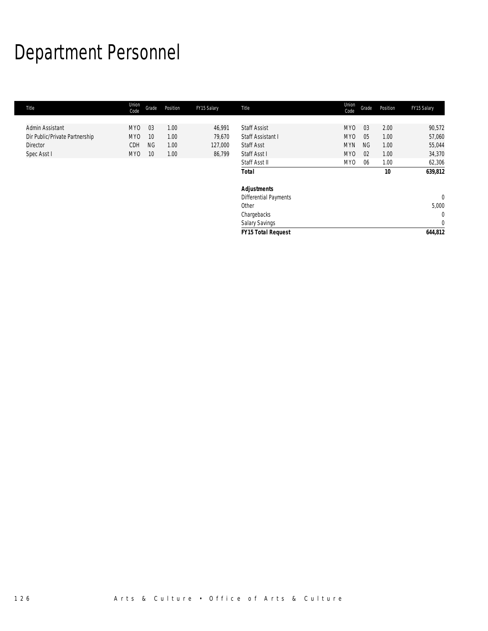# Department Personnel

| Title                          | Union<br>Code   | Grade     | Position | FY15 Salary | Title                     | Union<br>Code   | Grade     | Position | FY15 Salary    |
|--------------------------------|-----------------|-----------|----------|-------------|---------------------------|-----------------|-----------|----------|----------------|
|                                |                 |           |          |             |                           |                 |           |          |                |
| Admin Assistant                | MY <sub>0</sub> | 03        | 1.00     | 46,991      | <b>Staff Assist</b>       | MY <sub>0</sub> | 03        | 2.00     | 90,572         |
| Dir Public/Private Partnership | MY <sub>0</sub> | 10        | 1.00     | 79,670      | Staff Assistant I         | MY <sub>0</sub> | 05        | 1.00     | 57,060         |
| <b>Director</b>                | CDH             | <b>NG</b> | 1.00     | 127,000     | <b>Staff Asst</b>         | <b>MYN</b>      | <b>NG</b> | 1.00     | 55,044         |
| Spec Asst I                    | MY0             | 10        | 1.00     | 86,799      | Staff Asst I              | MY <sub>0</sub> | 02        | 1.00     | 34,370         |
|                                |                 |           |          |             | Staff Asst II             | MY <sub>0</sub> | 06        | 1.00     | 62,306         |
|                                |                 |           |          |             | <b>Total</b>              |                 |           | 10       | 639,812        |
|                                |                 |           |          |             | <b>Adjustments</b>        |                 |           |          |                |
|                                |                 |           |          |             | Differential Payments     |                 |           |          | $\overline{0}$ |
|                                |                 |           |          |             | Other                     |                 |           |          | 5,000          |
|                                |                 |           |          |             | Chargebacks               |                 |           |          | $\mathbf 0$    |
|                                |                 |           |          |             | Salary Savings            |                 |           |          | $\mathbf 0$    |
|                                |                 |           |          |             | <b>FY15 Total Request</b> |                 |           |          | 644,812        |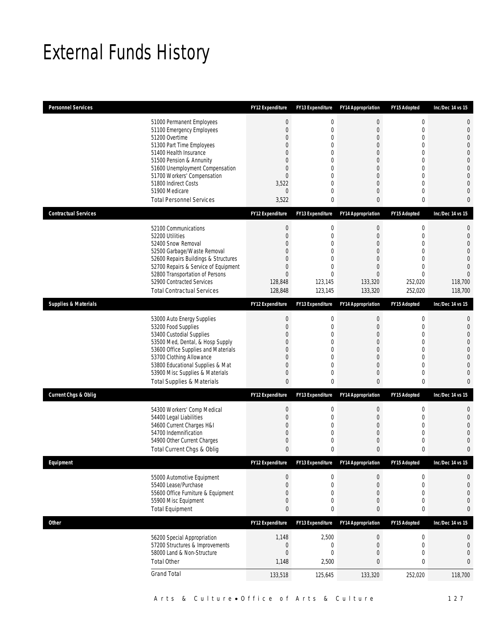## External Funds History

| <b>Personnel Services</b>       |                                                                                                                                                                                                                                                                                                            | <b>FY12 Expenditure</b>                                                                                | <b>FY13 Expenditure</b>                                                                      | <b>FY14 Appropriation</b>                                                                   | FY15 Adopted                                                                                           | Inc/Dec 14 vs 15                                                                                                                     |
|---------------------------------|------------------------------------------------------------------------------------------------------------------------------------------------------------------------------------------------------------------------------------------------------------------------------------------------------------|--------------------------------------------------------------------------------------------------------|----------------------------------------------------------------------------------------------|---------------------------------------------------------------------------------------------|--------------------------------------------------------------------------------------------------------|--------------------------------------------------------------------------------------------------------------------------------------|
|                                 | 51000 Permanent Employees<br>51100 Emergency Employees<br>51200 Overtime<br>51300 Part Time Employees<br>51400 Health Insurance<br>51500 Pension & Annunity<br>51600 Unemployment Compensation<br>51700 Workers' Compensation<br>51800 Indirect Costs<br>51900 Medicare<br><b>Total Personnel Services</b> | $\theta$<br>$\mathbf 0$<br>0<br>0<br>0<br>0<br>0<br>$\overline{0}$<br>3,522<br>$\overline{0}$<br>3,522 | 0<br>$\overline{0}$<br>0<br>0<br>$\Omega$<br>0<br>$\theta$<br>$\theta$<br>0<br>$\Omega$<br>0 | $\boldsymbol{0}$<br>$\overline{0}$<br>0<br>0<br>0<br>0<br>0<br>0<br>0<br>0<br>0             | $\boldsymbol{0}$<br>$\mathbf 0$<br>0<br>$\overline{0}$<br>0<br>0<br>0<br>0<br>$\overline{0}$<br>0<br>0 | $\mathbf{0}$<br>$\mathbf{0}$<br>$\Omega$<br>$\Omega$<br>$\bigcap$<br>$\Omega$<br>$\overline{0}$<br>$\bigcap$<br>$\Omega$<br>$\Omega$ |
| <b>Contractual Services</b>     |                                                                                                                                                                                                                                                                                                            | <b>FY12 Expenditure</b>                                                                                | <b>FY13 Expenditure</b>                                                                      | <b>FY14 Appropriation</b>                                                                   | FY15 Adopted                                                                                           | Inc/Dec 14 vs 15                                                                                                                     |
|                                 | 52100 Communications<br>52200 Utilities<br>52400 Snow Removal<br>52500 Garbage/Waste Removal<br>52600 Repairs Buildings & Structures<br>52700 Repairs & Service of Equipment<br>52800 Transportation of Persons<br>52900 Contracted Services<br><b>Total Contractual Services</b>                          | $\theta$<br>$\boldsymbol{0}$<br>0<br>0<br>0<br>0<br>$\overline{0}$<br>128,848<br>128,848               | 0<br>$\mathbf 0$<br>$\theta$<br>0<br>$\theta$<br>0<br>$\overline{0}$<br>123,145<br>123,145   | $\boldsymbol{0}$<br>$\mathbf 0$<br>0<br>0<br>0<br>0<br>$\overline{0}$<br>133,320<br>133,320 | 0<br>$\boldsymbol{0}$<br>0<br>$\overline{0}$<br>0<br>$\mathbf 0$<br>$\mathbf 0$<br>252,020<br>252,020  | $\mathbf 0$<br>$\mathbf{0}$<br>$\bigcap$<br>$\sqrt{ }$<br>$\Omega$<br>$\bigcap$<br>$\Omega$<br>118,700<br>118,700                    |
| <b>Supplies &amp; Materials</b> |                                                                                                                                                                                                                                                                                                            | FY12 Expenditure                                                                                       | FY13 Expenditure                                                                             | <b>FY14 Appropriation</b>                                                                   | FY15 Adopted                                                                                           | Inc/Dec 14 vs 15                                                                                                                     |
|                                 | 53000 Auto Energy Supplies<br>53200 Food Supplies<br>53400 Custodial Supplies<br>53500 Med, Dental, & Hosp Supply<br>53600 Office Supplies and Materials<br>53700 Clothing Allowance<br>53800 Educational Supplies & Mat<br>53900 Misc Supplies & Materials<br><b>Total Supplies &amp; Materials</b>       | $\theta$<br>$\mathbf 0$<br>0<br>0<br>0<br>0<br>0<br>0<br>0                                             | 0<br>$\mathbf 0$<br>0<br>0<br>$\theta$<br>$\theta$<br>0<br>0<br>0                            | $\mathbf 0$<br>$\mathbf 0$<br>0<br>0<br>0<br>0<br>0<br>0<br>0                               | 0<br>$\mathbf 0$<br>0<br>0<br>0<br>0<br>$\mathbf{0}$<br>0<br>0                                         | $\mathbf 0$<br>$\mathbf{0}$<br>$\Omega$<br>$\bigcap$<br>$\Omega$<br>$\bigcap$<br>$\Omega$                                            |
| <b>Current Chgs &amp; Oblig</b> |                                                                                                                                                                                                                                                                                                            | <b>FY12 Expenditure</b>                                                                                | <b>FY13 Expenditure</b>                                                                      | <b>FY14 Appropriation</b>                                                                   | FY15 Adopted                                                                                           | Inc/Dec 14 vs 15                                                                                                                     |
|                                 | 54300 Workers' Comp Medical<br>54400 Legal Liabilities<br>54600 Current Charges H&I<br>54700 Indemnification<br>54900 Other Current Charges<br>Total Current Chgs & Oblig                                                                                                                                  | $\theta$<br>$\boldsymbol{0}$<br>0<br>0<br>0<br>0                                                       | $\mathbf 0$<br>$\mathbf 0$<br>0<br>0<br>0<br>0                                               | $\mathbf 0$<br>$\mathbf 0$<br>0<br>0<br>0<br>0                                              | $\boldsymbol{0}$<br>$\boldsymbol{0}$<br>0<br>0<br>0<br>0                                               | $\mathbf{0}$<br>$\overline{0}$<br>$\bigcap$<br>0<br>$\Omega$                                                                         |
| Equipment                       |                                                                                                                                                                                                                                                                                                            | FY12 Expenditure                                                                                       | FY13 Expenditure                                                                             | <b>FY14 Appropriation</b>                                                                   | FY15 Adopted                                                                                           | Inc/Dec 14 vs 15                                                                                                                     |
|                                 | 55000 Automotive Equipment<br>55400 Lease/Purchase<br>55600 Office Furniture & Equipment<br>55900 Misc Equipment<br><b>Total Equipment</b>                                                                                                                                                                 | $\theta$<br>$\boldsymbol{0}$<br>$\mathbf 0$<br>0<br>0                                                  | 0<br>0<br>0<br>0<br>0                                                                        | $\pmb{0}$<br>0<br>$\mathbf 0$<br>0<br>0                                                     | $\bf{0}$<br>$\boldsymbol{0}$<br>$\mathbf 0$<br>0<br>0                                                  | 0<br>$\mathbf{0}$<br>$\mathbf{0}$<br>$\overline{0}$<br>$\mathbf{0}$                                                                  |
| <b>Other</b>                    |                                                                                                                                                                                                                                                                                                            | FY12 Expenditure                                                                                       | FY13 Expenditure                                                                             | <b>FY14 Appropriation</b>                                                                   | FY15 Adopted                                                                                           | Inc/Dec 14 vs 15                                                                                                                     |
|                                 | 56200 Special Appropriation<br>57200 Structures & Improvements<br>58000 Land & Non-Structure<br><b>Total Other</b>                                                                                                                                                                                         | 1,148<br>$\boldsymbol{0}$<br>$\boldsymbol{0}$<br>1,148                                                 | 2,500<br>0<br>$\overline{0}$<br>2,500                                                        | $\boldsymbol{0}$<br>$\mathbf 0$<br>0<br>0                                                   | $\boldsymbol{0}$<br>$\boldsymbol{0}$<br>0<br>0                                                         | $\boldsymbol{0}$<br>$\mathbf 0$<br>$\theta$<br>$\bf{0}$                                                                              |
|                                 | <b>Grand Total</b>                                                                                                                                                                                                                                                                                         | 133,518                                                                                                | 125,645                                                                                      | 133,320                                                                                     | 252,020                                                                                                | 118,700                                                                                                                              |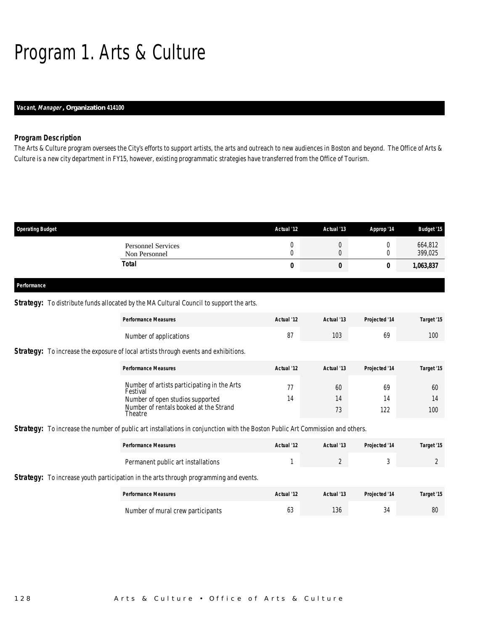# Program 1. Arts & Culture

### *Vacant, Manager , Organization 414100*

### *Program Description*

The Arts & Culture program oversees the City's efforts to support artists, the arts and outreach to new audiences in Boston and beyond. The Office of Arts & Culture is a new city department in FY15, however, existing programmatic strategies have transferred from the Office of Tourism.

| <b>Operating Budget</b>                    | Actual '12 | Actual '13 | Approp '14 | <b>Budget '15</b>  |
|--------------------------------------------|------------|------------|------------|--------------------|
| <b>Personnel Services</b><br>Non Personnel | υ<br>L     | U<br>U     |            | 664,812<br>399,025 |
| <b>Total</b>                               | 0          | U          |            | 1,063,837          |
| Performance                                |            |            |            |                    |

### **Strategy:** To distribute funds allocated by the MA Cultural Council to support the arts.

|                                                                                            | <b>Performance Measures</b>                             | Actual '12 | Actual '13 | Projected '14 | Target '15 |  |  |
|--------------------------------------------------------------------------------------------|---------------------------------------------------------|------------|------------|---------------|------------|--|--|
|                                                                                            | Number of applications                                  | 87         | 103        | 69            | 100        |  |  |
| <b>Strategy:</b> To increase the exposure of local artists through events and exhibitions. |                                                         |            |            |               |            |  |  |
|                                                                                            | <b>Performance Measures</b>                             | Actual '12 | Actual '13 | Projected '14 | Target '15 |  |  |
|                                                                                            | Number of artists participating in the Arts<br>Festival | 77         | 60         | 69            | 60         |  |  |
|                                                                                            | Number of open studios supported                        | 14         | 14         | 14            | 14         |  |  |
|                                                                                            | Number of rentals booked at the Strand<br>Theatre       |            | 73         | 122           | 100        |  |  |

**Strategy:** To increase the number of public art installations in conjunction with the Boston Public Art Commission and others.

| <b>Performance Measures</b>        | Actual '12 | Actual '13 | Projected '14 | Target '15 |
|------------------------------------|------------|------------|---------------|------------|
| Permanent public art installations |            | -          |               |            |

**Strategy:** To increase youth participation in the arts through programming and events.

| <b>Performance Measures</b>       | Actual '12 | Actual '13 | <b>Projected '14</b> | Target '15 |
|-----------------------------------|------------|------------|----------------------|------------|
| Number of mural crew participants | UJ         | 136        | 34                   | 80         |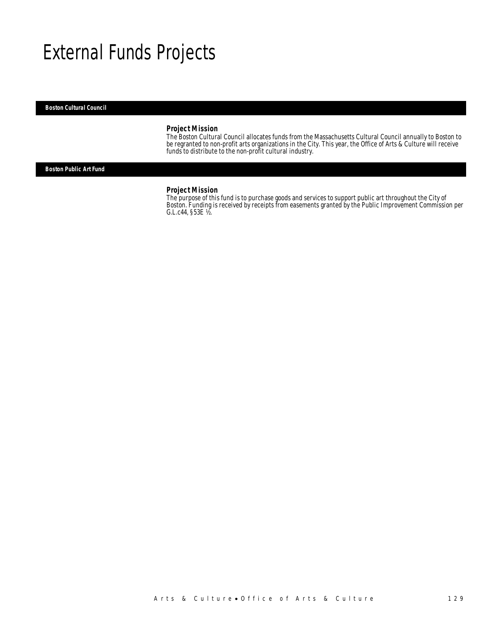### External Funds Projects

#### *Boston Cultural Council*

### *Project Mission*

The Boston Cultural Council allocates funds from the Massachusetts Cultural Council annually to Boston to be regranted to non-profit arts organizations in the City. This year, the Office of Arts & Culture will receive funds to distribute to the non-profit cultural industry.

*Boston Public Art Fund* 

#### *Project Mission*

The purpose of this fund is to purchase goods and services to support public art throughout the City of Boston. Funding is received by receipts from easements granted by the Public Improvement Commission per G.L.c44, §53E ½.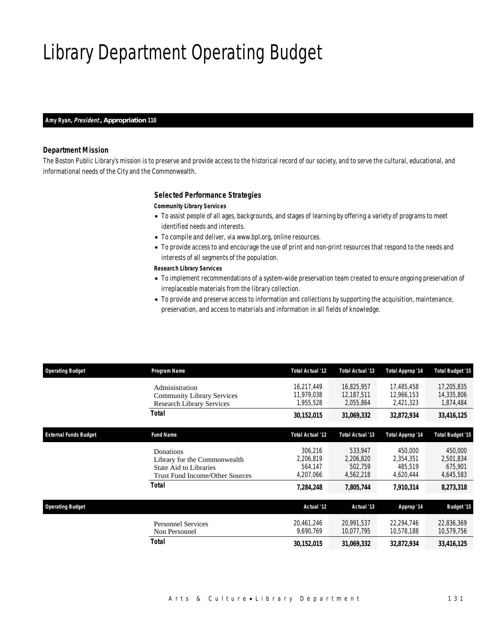## Library Department Operating Budget

#### *Amy Ryan, President , Appropriation 110*

### *Department Mission*

The Boston Public Library's mission is to preserve and provide access to the historical record of our society, and to serve the cultural, educational, and informational needs of the City and the Commonwealth.

### *Selected Performance Strategies*

#### *Community Library Services*

- To assist people of all ages, backgrounds, and stages of learning by offering a variety of programs to meet identified needs and interests.
- To compile and deliver, via www.bpl.org, online resources.
- To provide access to and encourage the use of print and non-print resources that respond to the needs and interests of all segments of the population.

#### *Research Library Services*

- To implement recommendations of a system-wide preservation team created to ensure ongoing preservation of irreplaceable materials from the library collection.
- To provide and preserve access to information and collections by supporting the acquisition, maintenance, preservation, and access to materials and information in all fields of knowledge.

| <b>Operating Budget</b>      | Program Name                                                                                                  | Total Actual '12                             | Total Actual '13                             | Total Approp '14                             | <b>Total Budget '15</b>                      |
|------------------------------|---------------------------------------------------------------------------------------------------------------|----------------------------------------------|----------------------------------------------|----------------------------------------------|----------------------------------------------|
|                              | Administration<br><b>Community Library Services</b><br><b>Research Library Services</b>                       | 16,217,449<br>11,979,038<br>1,955,528        | 16,825,957<br>12.187.511<br>2,055,864        | 17,485,458<br>12.966.153<br>2,421,323        | 17,205,835<br>14,335,806<br>1,874,484        |
|                              | Total                                                                                                         | 30,152,015                                   | 31,069,332                                   | 32,872,934                                   | 33,416,125                                   |
| <b>External Funds Budget</b> | <b>Fund Name</b>                                                                                              | Total Actual '12                             | Total Actual '13                             | Total Approp '14                             | <b>Total Budget '15</b>                      |
|                              | Donations<br>Library for the Commonwealth<br>State Aid to Libraries<br><b>Trust Fund Income/Other Sources</b> | 306,216<br>2,206,819<br>564.147<br>4,207,066 | 533,947<br>2,206,820<br>502.759<br>4,562,218 | 450,000<br>2,354,351<br>485.519<br>4,620,444 | 450,000<br>2,501,834<br>675,901<br>4,645,583 |
|                              | <b>Total</b>                                                                                                  | 7,284,248                                    | 7,805,744                                    | 7,910,314                                    | 8,273,318                                    |
| <b>Operating Budget</b>      |                                                                                                               | Actual '12                                   | Actual '13                                   | Approp '14                                   | <b>Budget '15</b>                            |
|                              | <b>Personnel Services</b><br>Non Personnel                                                                    | 20,461,246<br>9.690.769                      | 20,991,537<br>10,077,795                     | 22,294,746<br>10.578.188                     | 22,836,369<br>10,579,756                     |
|                              | Total                                                                                                         | 30,152,015                                   | 31,069,332                                   | 32,872,934                                   | 33,416,125                                   |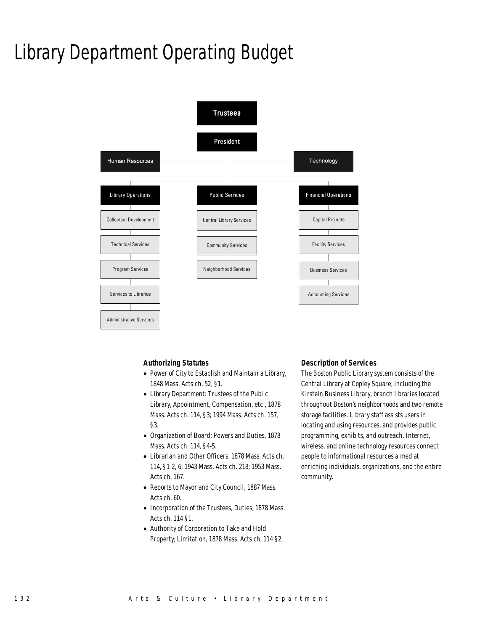## Library Department Operating Budget



### *Authorizing Statutes*

- Power of City to Establish and Maintain a Library, 1848 Mass. Acts ch. 52, §1.
- Library Department: Trustees of the Public Library, Appointment, Compensation, etc., 1878 Mass. Acts ch. 114, §3; 1994 Mass. Acts ch. 157, §3.
- Organization of Board; Powers and Duties, 1878 Mass. Acts ch. 114, §4-5.
- Librarian and Other Officers, 1878 Mass. Acts ch. 114, §1-2, 6; 1943 Mass. Acts ch. 218; 1953 Mass. Acts ch. 167.
- Reports to Mayor and City Council, 1887 Mass. Acts ch. 60.
- Incorporation of the Trustees, Duties, 1878 Mass. Acts ch. 114 §1.
- Authority of Corporation to Take and Hold Property; Limitation, 1878 Mass. Acts ch. 114 §2.

### *Description of Services*

The Boston Public Library system consists of the Central Library at Copley Square, including the Kirstein Business Library, branch libraries located throughout Boston's neighborhoods and two remote storage facilities. Library staff assists users in locating and using resources, and provides public programming, exhibits, and outreach. Internet, wireless, and online technology resources connect people to informational resources aimed at enriching individuals, organizations, and the entire community.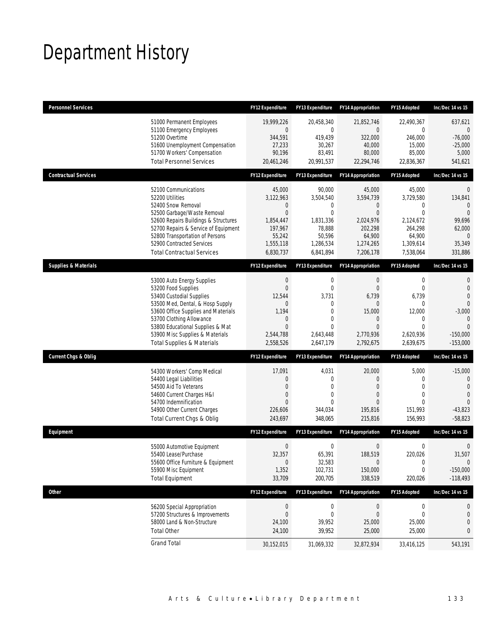## Department History

| <b>Personnel Services</b>       |                                                                                                                                                                                                                                                                                                      | <b>FY12 Expenditure</b>                                                                                                     | <b>FY13 Expenditure</b>                                                                                       | <b>FY14 Appropriation</b>                                                                                           | FY15 Adopted                                                                                                                 | Inc/Dec 14 vs 15                                                                                                       |
|---------------------------------|------------------------------------------------------------------------------------------------------------------------------------------------------------------------------------------------------------------------------------------------------------------------------------------------------|-----------------------------------------------------------------------------------------------------------------------------|---------------------------------------------------------------------------------------------------------------|---------------------------------------------------------------------------------------------------------------------|------------------------------------------------------------------------------------------------------------------------------|------------------------------------------------------------------------------------------------------------------------|
|                                 | 51000 Permanent Employees<br>51100 Emergency Employees<br>51200 Overtime<br>51600 Unemployment Compensation<br>51700 Workers' Compensation<br><b>Total Personnel Services</b>                                                                                                                        | 19,999,226<br>$\overline{0}$<br>344,591<br>27,233<br>90,196<br>20,461,246                                                   | 20,458,340<br>0<br>419,439<br>30,267<br>83,491<br>20,991,537                                                  | 21,852,746<br>0<br>322,000<br>40,000<br>80,000<br>22,294,746                                                        | 22,490,367<br>$\mathbf{0}$<br>246,000<br>15,000<br>85,000<br>22,836,367                                                      | 637,621<br>$\theta$<br>$-76,000$<br>$-25,000$<br>5,000<br>541,621                                                      |
| <b>Contractual Services</b>     |                                                                                                                                                                                                                                                                                                      | <b>FY12 Expenditure</b>                                                                                                     | <b>FY13 Expenditure</b>                                                                                       | <b>FY14 Appropriation</b>                                                                                           | FY15 Adopted                                                                                                                 | Inc/Dec 14 vs 15                                                                                                       |
|                                 | 52100 Communications<br>52200 Utilities<br>52400 Snow Removal<br>52500 Garbage/Waste Removal<br>52600 Repairs Buildings & Structures<br>52700 Repairs & Service of Equipment<br>52800 Transportation of Persons<br>52900 Contracted Services<br><b>Total Contractual Services</b>                    | 45,000<br>3,122,963<br>$\mathbf 0$<br>$\overline{0}$<br>1,854,447<br>197,967<br>55,242<br>1,555,118<br>6,830,737            | 90,000<br>3,504,540<br>$\mathbf{0}$<br>$\mathbf 0$<br>1,831,336<br>78,888<br>50,596<br>1,286,534<br>6,841,894 | 45,000<br>3,594,739<br>0<br>$\overline{0}$<br>2,024,976<br>202,298<br>64,900<br>1,274,265<br>7,206,178              | 45,000<br>3,729,580<br>$\mathbf 0$<br>$\mathbf{0}$<br>2,124,672<br>264,298<br>64,900<br>1,309,614<br>7,538,064               | $\theta$<br>134,841<br>$\Omega$<br>99,696<br>62,000<br>$\theta$<br>35,349<br>331,886                                   |
| <b>Supplies &amp; Materials</b> |                                                                                                                                                                                                                                                                                                      | <b>FY12 Expenditure</b>                                                                                                     | <b>FY13 Expenditure</b>                                                                                       | <b>FY14 Appropriation</b>                                                                                           | FY15 Adopted                                                                                                                 | Inc/Dec 14 vs 15                                                                                                       |
|                                 | 53000 Auto Energy Supplies<br>53200 Food Supplies<br>53400 Custodial Supplies<br>53500 Med, Dental, & Hosp Supply<br>53600 Office Supplies and Materials<br>53700 Clothing Allowance<br>53800 Educational Supplies & Mat<br>53900 Misc Supplies & Materials<br><b>Total Supplies &amp; Materials</b> | $\boldsymbol{0}$<br>$\mathbf 0$<br>12,544<br>$\mathbf{0}$<br>1,194<br>$\mathbf 0$<br>$\mathbf{0}$<br>2,544,788<br>2,558,526 | $\boldsymbol{0}$<br>$\mathbf 0$<br>3,731<br>0<br>0<br>0<br>$\overline{0}$<br>2,643,448<br>2,647,179           | $\mathbf 0$<br>$\overline{0}$<br>6,739<br>0<br>15,000<br>$\overline{0}$<br>$\overline{0}$<br>2,770,936<br>2,792,675 | $\boldsymbol{0}$<br>$\mathbf{0}$<br>6,739<br>$\mathbf 0$<br>12,000<br>$\mathbf{0}$<br>$\mathbf{0}$<br>2,620,936<br>2,639,675 | $\mathbf{0}$<br>$\overline{0}$<br>$\Omega$<br>$\Omega$<br>$-3,000$<br>$\Omega$<br>$\Omega$<br>$-150,000$<br>$-153,000$ |
| <b>Current Chgs &amp; Oblig</b> |                                                                                                                                                                                                                                                                                                      | FY12 Expenditure                                                                                                            | FY13 Expenditure                                                                                              | <b>FY14 Appropriation</b>                                                                                           | FY15 Adopted                                                                                                                 | Inc/Dec 14 vs 15                                                                                                       |
|                                 | 54300 Workers' Comp Medical<br>54400 Legal Liabilities<br>54500 Aid To Veterans<br>54600 Current Charges H&I<br>54700 Indemnification<br>54900 Other Current Charges<br>Total Current Chgs & Oblig                                                                                                   | 17,091<br>$\mathbf 0$<br>0<br>0<br>$\Omega$<br>226,606<br>243,697                                                           | 4,031<br>0<br>0<br>0<br>$\Omega$<br>344,034<br>348,065                                                        | 20,000<br>0<br>0<br>0<br>$\Omega$<br>195,816<br>215,816                                                             | 5,000<br>$\mathbf 0$<br>$\mathbf 0$<br>$\mathbf 0$<br>$\Omega$<br>151,993<br>156,993                                         | $-15,000$<br>$\theta$<br>$\theta$<br>$\Omega$<br>$\Omega$<br>$-43,823$<br>$-58,823$                                    |
| Equipment                       |                                                                                                                                                                                                                                                                                                      | <b>FY12 Expenditure</b>                                                                                                     | <b>FY13 Expenditure</b>                                                                                       | <b>FY14 Appropriation</b>                                                                                           | FY15 Adopted                                                                                                                 | Inc/Dec 14 vs 15                                                                                                       |
|                                 | 55000 Automotive Equipment<br>55400 Lease/Purchase<br>55600 Office Furniture & Equipment<br>55900 Misc Equipment<br><b>Total Equipment</b>                                                                                                                                                           | $\mathbf 0$<br>32,357<br>$\mathbf 0$<br>1,352<br>33,709                                                                     | 0<br>65,391<br>32,583<br>102,731<br>200,705                                                                   | $\mathbf 0$<br>188,519<br>$\mathbf 0$<br>150,000<br>338,519                                                         | $\mathbf 0$<br>220,026<br>0<br>$\mathbf{0}$<br>220,026                                                                       | $\mathbf 0$<br>31,507<br>$\Omega$<br>$-150,000$<br>$-118,493$                                                          |
| <b>Other</b>                    |                                                                                                                                                                                                                                                                                                      | FY12 Expenditure                                                                                                            | FY13 Expenditure                                                                                              | <b>FY14 Appropriation</b>                                                                                           | FY15 Adopted                                                                                                                 | Inc/Dec 14 vs 15                                                                                                       |
|                                 | 56200 Special Appropriation<br>57200 Structures & Improvements<br>58000 Land & Non-Structure<br><b>Total Other</b>                                                                                                                                                                                   | $\boldsymbol{0}$<br>$\mathbf 0$<br>24,100<br>24,100                                                                         | $\boldsymbol{0}$<br>0<br>39,952<br>39,952                                                                     | $\theta$<br>0<br>25,000<br>25,000                                                                                   | $\boldsymbol{0}$<br>$\mathbf{0}$<br>25,000<br>25,000                                                                         | 0<br>$\mathbf{0}$<br>0<br>0                                                                                            |
|                                 | <b>Grand Total</b>                                                                                                                                                                                                                                                                                   | 30,152,015                                                                                                                  | 31,069,332                                                                                                    | 32,872,934                                                                                                          | 33,416,125                                                                                                                   | 543,191                                                                                                                |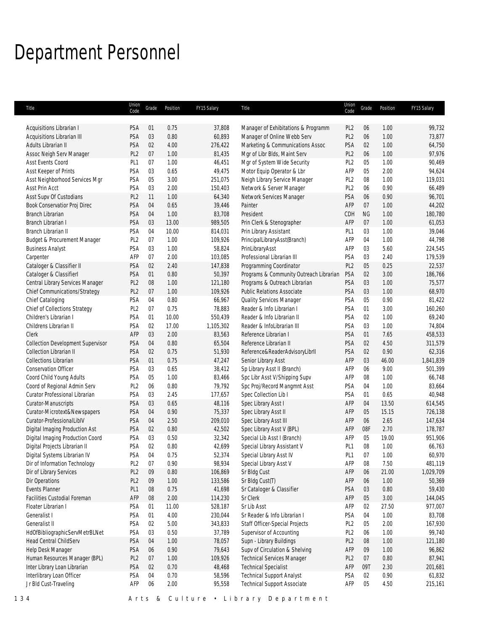# Department Personnel

| Title                                    | Union<br>Code   | Grade      | Position | FY15 Salary | Title                                   | Union<br>Code   | Grade     | Position | FY15 Salary |
|------------------------------------------|-----------------|------------|----------|-------------|-----------------------------------------|-----------------|-----------|----------|-------------|
|                                          |                 |            |          |             |                                         |                 |           |          |             |
| Acquisitions Librarian I                 | PSA             | 01         | 0.75     | 37,808      | Manager of Exhibitations & Programm     | PL <sub>2</sub> | 06        | 1.00     | 99,732      |
| Acquisitions Librarian III               | PSA             | 03         | 0.80     | 60,893      | Manager of Online Webb Serv             | PL <sub>2</sub> | 06        | 1.00     | 73,877      |
| Adults Librarian II                      | PSA             | 02         | 4.00     | 276,422     | Marketing & Communications Assoc        | PSA             | 02        | 1.00     | 64,750      |
| Assoc Neigh Serv Manager                 | PL <sub>2</sub> | 07         | 1.00     | 81,435      | Mgr of Libr Blds, Maint Serv            | PL <sub>2</sub> | 06        | 1.00     | 97,976      |
| Asst Events Coord                        | PL <sub>1</sub> | 07         | 1.00     | 46,451      | Mgr of System Wide Security             | PL <sub>2</sub> | 05        | 1.00     | 90,469      |
| Asst Keeper of Prints                    | PSA             | 03         | 0.65     | 49,475      | Motor Equip Operator & Lbr              | AFP             | 05        | 2.00     | 94,624      |
| Asst Neighborhood Services Mgr           | PSA             | 05         | 3.00     | 251,075     | Neigh Library Service Manager           | PL <sub>2</sub> | 08        | 1.00     | 119,031     |
| Asst Prin Acct                           | PSA             | 03         | 2.00     | 150,403     | Network & Server Manager                | PL <sub>2</sub> | 06        | 0.90     | 66,489      |
| Asst Supv Of Custodians                  | PL <sub>2</sub> | 11         | 1.00     | 64,340      | Network Services Manager                | PSA             | 06        | 0.90     | 96,701      |
| Book Conservatior Proj Direc             | PSA             | 04         | 0.65     | 39,446      | Painter                                 | AFP             | 07        | 1.00     | 44,202      |
| Branch Librarian                         | PSA             | 04         | 1.00     | 83,708      | President                               | CDH             | <b>NG</b> | 1.00     | 180,780     |
| Branch Librarian I                       | PSA             | 03         | 13.00    | 989,505     | Prin Clerk & Stenographer               | AFP             | 07        | 1.00     | 61,053      |
| Branch Librarian II                      | PSA             | 04         | 10.00    | 814,031     | Prin Library Assistant                  | PL <sub>1</sub> | 03        | 1.00     | 39,046      |
| Budget & Procurement Manager             | PL <sub>2</sub> | 07         | 1.00     | 109,926     | PrincipalLibraryAsst(Branch)            | AFP             | 04        | 1.00     | 44,798      |
| <b>Business Analyst</b>                  | PSA             | 03         | 1.00     | 58,824      | PrinLibraryAsst                         | AFP             | 03        | 5.60     | 224,545     |
| Carpenter                                | AFP             | 07         | 2.00     | 103,085     | Professional Librarian III              | PSA             | 03        | 2.40     | 179,539     |
| Cataloger & Classifier II                | PSA             | 02         | 2.40     | 147,838     | Programming Coordinator                 | PL <sub>2</sub> | 05        | 0.25     | 22,537      |
| Cataloger & ClassifierI                  | PSA             | 01         | 0.80     | 50,397      | Programs & Community Outreach Librarian | PSA             | 02        | 3.00     | 186,766     |
| Central Library Services Manager         | PL <sub>2</sub> | $08\,$     | 1.00     | 121,180     | Programs & Outreach Librarian           | PSA             | 03        | 1.00     | 75,577      |
| Chief Communications/Strategy            | PL <sub>2</sub> | 07         | 1.00     | 109,926     | <b>Public Relations Associate</b>       | PSA             | 03        | 1.00     | 68,970      |
| Chief Cataloging                         | PSA             | 04         | 0.80     | 66,967      | Quality Services Manager                | PSA             | 05        | 0.90     | 81,422      |
| Chief of Collections Strategy            | PL <sub>2</sub> | 07         | 0.75     | 78,883      | Reader & Info Librarian I               | PSA             | 01        | 3.00     | 160,260     |
|                                          |                 |            | 10.00    |             |                                         |                 |           |          |             |
| Children's Librarian I                   | PSA             | 01         |          | 550,439     | Reader & Info Librarian II              | <b>PSA</b>      | 02        | 1.00     | 69,240      |
| Childrens Librarian II                   | PSA             | 02         | 17.00    | 1,105,302   | Reader & InfoLibrarian III              | PSA             | 03        | 1.00     | 74,804      |
| Clerk                                    | AFP             | 03         | 2.00     | 83,563      | Reference Librarian I                   | <b>PSA</b>      | 01        | 7.65     | 458,533     |
| <b>Collection Development Supervisor</b> | PSA             | 04         | 0.80     | 65,504      | Reference Librarian II                  | PSA             | 02        | 4.50     | 311,579     |
| Collection Librarian II                  | PSA             | 02         | 0.75     | 51,930      | Reference&ReaderAdvisoryLibrII          | PSA             | 02        | 0.90     | 62,316      |
| <b>Collections Librarian</b>             | PSA             | 01         | 0.75     | 47,247      | Senior Library Asst                     | AFP             | 03        | 46.00    | 1,841,839   |
| <b>Conservation Officer</b>              | PSA             | 03         | 0.65     | 38,412      | Sp Library Asst II (Branch)             | AFP             | 06        | 9.00     | 501,399     |
| Coord Child Young Adults                 | PSA             | 05         | 1.00     | 83,466      | Spc Libr Asst V/Shipping Supv           | AFP             | 08        | 1.00     | 66,748      |
| Coord of Regional Admin Serv             | PL <sub>2</sub> | 06         | 0.80     | 79,792      | Spc Proj/Record Mangmnt Asst            | PSA             | 04        | 1.00     | 83,664      |
| Curator Professional Librarian           | PSA             | 03         | 2.45     | 177,657     | Spec Collection Lib I                   | PSA             | 01        | 0.65     | 40,948      |
| Curator-Manuscripts                      | PSA             | 03         | 0.65     | 48,116      | Spec Library Asst I                     | AFP             | 04        | 13.50    | 614,545     |
| Curator-Microtext&Newspapers             | PSA             | 04         | 0.90     | 75,337      | Spec Library Asst II                    | AFP             | 05        | 15.15    | 726,138     |
| Curator-ProfessionalLiblV                | PSA             | 04         | 2.50     | 209,010     | Spec Library Asst III                   | AFP             | 06        | 2.65     | 147,634     |
| Digital Imaging Production Ast           | PSA             | 02         | 0.80     | 42,502      | Spec Library Asst V (BPL)               | AFP             | 08F       | 2.70     | 178,787     |
| Digital Imaging Production Coord         | PSA             | 03         | 0.50     | 32,342      | Special Lib Asst I (Branch)             | AFP             | 05        | 19.00    | 951,906     |
| Digital Projects Librarian II            | PSA             | 02         | 0.80     | 42,699      | Special Library Assistant V             | PL <sub>1</sub> | 08        | 1.00     | 66,763      |
| Digital Systems Librarian IV             | PSA             | 04         | 0.75     | 52,374      | Special Library Asst IV                 | PL <sub>1</sub> | 07        | 1.00     | 60,970      |
| Dir of Information Technology            | PL <sub>2</sub> | 07         | 0.90     | 98,934      | Special Library Asst V                  | AFP             | 08        | 7.50     | 481,119     |
| Dir of Library Services                  | PL <sub>2</sub> | 09         | 0.80     | 106,869     | Sr Bldg Cust                            | AFP             | 06        | 21.00    | 1,029,709   |
| Dir Operations                           | PL <sub>2</sub> | 09         | 1.00     | 133,586     | Sr Bldg Cust(T)                         | AFP             | 06        | 1.00     | 50,369      |
| <b>Events Planner</b>                    | PL <sub>1</sub> | 08         | 0.75     | 41,698      | Sr Cataloger & Classifier               | PSA             | 03        | 0.80     | 59,430      |
|                                          |                 |            |          |             |                                         |                 |           |          |             |
| Facilities Custodial Foreman             | AFP             | ${\bf 08}$ | 2.00     | 114,230     | Sr Clerk                                | AFP             | 05        | 3.00     | 144,045     |
| Floater Librarian I                      | PSA             | 01         | 11.00    | 528,187     | Sr Lib Asst                             | AFP             | 02        | 27.50    | 977,007     |
| Generalist I                             | PSA             | 01         | 4.00     | 230,044     | Sr Reader & Info Librarian I            | PSA             | 04        | 1.00     | 83,708      |
| Generalist II                            | PSA             | 02         | 5.00     | 343,833     | Staff Officer-Special Projects          | PL <sub>2</sub> | 05        | 2.00     | 167,930     |
| HdOfBibliographicServMetrBLNet           | PSA             | 03         | 0.50     | 37,789      | Supervisor of Accounting                | PL <sub>2</sub> | 06        | 1.00     | 99,740      |
| Head Central ChildServ                   | PSA             | 04         | 1.00     | 78,057      | Supn - Library Buildings                | PL <sub>2</sub> | 08        | 1.00     | 121,180     |
| Help Desk Manager                        | PSA             | 06         | 0.90     | 79,643      | Supv of Circulation & Shelving          | AFP             | 09        | 1.00     | 96,862      |
| Human Resources Manager (BPL)            | PL <sub>2</sub> | 07         | 1.00     | 109,926     | <b>Technical Services Manager</b>       | PL <sub>2</sub> | 07        | 0.80     | 87,941      |
| Inter Library Loan Librarian             | PSA             | 02         | 0.70     | 48,468      | <b>Technical Specialist</b>             | AFP             | 09T       | 2.30     | 201,681     |
| Interlibrary Loan Officer                | PSA             | 04         | 0.70     | 58,596      | <b>Technical Support Analyst</b>        | PSA             | 02        | 0.90     | 61,832      |
| Jr Bld Cust-Traveling                    | AFP             | 06         | 2.00     | 95,558      | <b>Technical Support Associate</b>      | AFP             | 05        | 4.50     | 215,161     |
|                                          |                 |            |          |             |                                         |                 |           |          |             |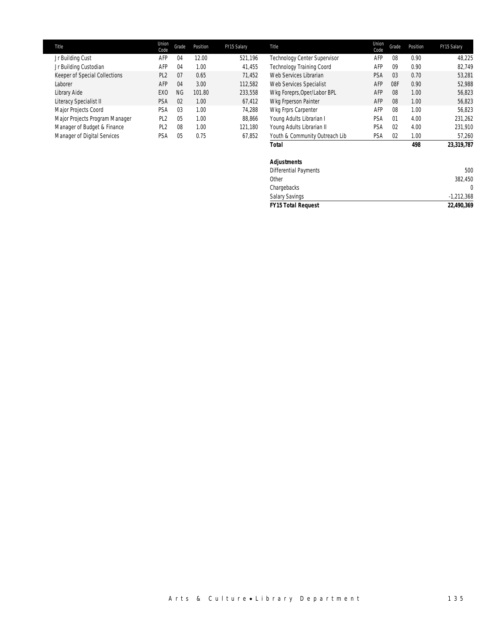| Title                          | Union<br>Code   | Grade          | Position | FY15 Salary | Title                            | Union<br>Code | Grade          | Position | FY15 Salary |
|--------------------------------|-----------------|----------------|----------|-------------|----------------------------------|---------------|----------------|----------|-------------|
| Jr Building Cust               | AFP             | 04             | 12.00    | 521.196     | Technology Center Supervisor     | AFP           | 08             | 0.90     | 48.225      |
| Jr Building Custodian          | AFP             | 04             | 1.00     | 41.455      | <b>Technology Training Coord</b> | AFP           | 09             | 0.90     | 82.749      |
| Keeper of Special Collections  | PL <sub>2</sub> | 07             | 0.65     | 71.452      | Web Services Librarian           | PSA           | 0 <sub>3</sub> | 0.70     | 53.281      |
| Laborer                        | AFP             | 04             | 3.00     | 112,582     | Web Services Specialist          | AFP           | 08F            | 0.90     | 52,988      |
| Library Aide                   | EX <sub>0</sub> | <b>NG</b>      | 101.80   | 233,558     | Wkg Foreprs, Oper/Labor BPL      | AFP           | 08             | 1.00     | 56,823      |
| Literacy Specialist II         | <b>PSA</b>      | 02             | 1.00     | 67,412      | Wkg Frperson Painter             | AFP           | 08             | 1.00     | 56,823      |
| Major Projects Coord           | PSA             | 03             | 1.00     | 74.288      | Wkg Frprs Carpenter              | AFP           | 08             | 1.00     | 56.823      |
| Major Projects Program Manager | PL <sub>2</sub> | 0 <sub>5</sub> | 1.00     | 88,866      | Young Adults Librarian I         | PSA           | 01             | 4.00     | 231,262     |
| Manager of Budget & Finance    | PL <sub>2</sub> | 08             | 1.00     | 121,180     | Young Adults Librarian II        | PSA           | 0 <sup>2</sup> | 4.00     | 231,910     |
| Manager of Digital Services    | PSA             | 05             | 0.75     | 67,852      | Youth & Community Outreach Lib   | PSA           | 0 <sup>2</sup> | 1.00     | 57,260      |

| <b>Total</b>                 | 23,319,787<br>498 |
|------------------------------|-------------------|
| <b>Adjustments</b>           |                   |
| <b>Differential Payments</b> | 500               |
| Other                        | 382,450           |
| Chargebacks                  | 0                 |
| <b>Salary Savings</b>        | $-1,212,368$      |
| <b>FY15 Total Request</b>    | 22,490,369        |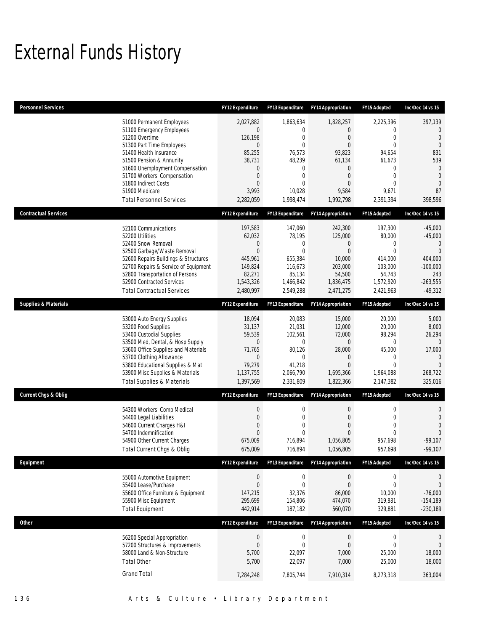## External Funds History

| <b>Personnel Services</b>       |                                                                                                                                                                                                                                                                                                            | <b>FY12 Expenditure</b>                                                                                           | <b>FY13 Expenditure</b>                                                                                                                           | <b>FY14 Appropriation</b>                                                                                                                               | FY15 Adopted                                                                                                                                        | Inc/Dec 14 vs 15                                                                                                               |
|---------------------------------|------------------------------------------------------------------------------------------------------------------------------------------------------------------------------------------------------------------------------------------------------------------------------------------------------------|-------------------------------------------------------------------------------------------------------------------|---------------------------------------------------------------------------------------------------------------------------------------------------|---------------------------------------------------------------------------------------------------------------------------------------------------------|-----------------------------------------------------------------------------------------------------------------------------------------------------|--------------------------------------------------------------------------------------------------------------------------------|
|                                 | 51000 Permanent Employees<br>51100 Emergency Employees<br>51200 Overtime<br>51300 Part Time Employees<br>51400 Health Insurance<br>51500 Pension & Annunity<br>51600 Unemployment Compensation<br>51700 Workers' Compensation<br>51800 Indirect Costs<br>51900 Medicare<br><b>Total Personnel Services</b> | 2,027,882<br>0<br>126,198<br>$\overline{0}$<br>85,255<br>38,731<br>0<br>0<br>$\overline{0}$<br>3,993<br>2,282,059 | 1,863,634<br>$\mathbf{0}$<br>$\overline{0}$<br>$\overline{0}$<br>76,573<br>48,239<br>0<br>$\overline{0}$<br>$\overline{0}$<br>10,028<br>1,998,474 | 1,828,257<br>$\mathbf{0}$<br>$\overline{0}$<br>$\mathbf{0}$<br>93.823<br>61,134<br>$\mathbf{0}$<br>$\overline{0}$<br>$\mathbf{0}$<br>9,584<br>1,992,798 | 2,225,396<br>$\mathbf 0$<br>$\mathbf{0}$<br>$\mathbf{0}$<br>94,654<br>61,673<br>$\mathbf 0$<br>$\mathbf{0}$<br>$\overline{0}$<br>9,671<br>2,391,394 | 397,139<br>$\theta$<br>$\overline{0}$<br>$\overline{0}$<br>831<br>539<br>$\mathbf{0}$<br>$\Omega$<br>$\Omega$<br>87<br>398,596 |
| <b>Contractual Services</b>     |                                                                                                                                                                                                                                                                                                            | <b>FY12 Expenditure</b>                                                                                           | FY13 Expenditure                                                                                                                                  | <b>FY14 Appropriation</b>                                                                                                                               | FY15 Adopted                                                                                                                                        | Inc/Dec 14 vs 15                                                                                                               |
|                                 | 52100 Communications<br>52200 Utilities<br>52400 Snow Removal<br>52500 Garbage/Waste Removal<br>52600 Repairs Buildings & Structures<br>52700 Repairs & Service of Equipment<br>52800 Transportation of Persons<br>52900 Contracted Services<br><b>Total Contractual Services</b>                          | 197,583<br>62,032<br>0<br>$\overline{0}$<br>445,961<br>149,824<br>82,271<br>1,543,326<br>2,480,997                | 147,060<br>78,195<br>$\mathbf{0}$<br>$\theta$<br>655,384<br>116,673<br>85,134<br>1,466,842<br>2,549,288                                           | 242,300<br>125,000<br>$\mathbf{0}$<br>$\mathbf{0}$<br>10,000<br>203,000<br>54,500<br>1,836,475<br>2,471,275                                             | 197,300<br>80,000<br>0<br>$\overline{0}$<br>414,000<br>103,000<br>54,743<br>1,572,920<br>2,421,963                                                  | $-45,000$<br>$-45,000$<br>$\mathbf{0}$<br>$\Omega$<br>404,000<br>$-100,000$<br>243<br>$-263,555$<br>$-49,312$                  |
| <b>Supplies &amp; Materials</b> |                                                                                                                                                                                                                                                                                                            | FY12 Expenditure                                                                                                  | FY13 Expenditure                                                                                                                                  | <b>FY14 Appropriation</b>                                                                                                                               | FY15 Adopted                                                                                                                                        | Inc/Dec 14 vs 15                                                                                                               |
|                                 | 53000 Auto Energy Supplies<br>53200 Food Supplies<br>53400 Custodial Supplies<br>53500 Med, Dental, & Hosp Supply<br>53600 Office Supplies and Materials<br>53700 Clothing Allowance<br>53800 Educational Supplies & Mat<br>53900 Misc Supplies & Materials<br><b>Total Supplies &amp; Materials</b>       | 18,094<br>31,137<br>59,539<br>0<br>71,765<br>0<br>79,279<br>1,137,755<br>1,397,569                                | 20,083<br>21,031<br>102,561<br>$\boldsymbol{0}$<br>80,126<br>0<br>41,218<br>2,066,790<br>2,331,809                                                | 15,000<br>12,000<br>72,000<br>$\mathbf 0$<br>28,000<br>$\mathbf{0}$<br>$\mathbf{0}$<br>1,695,366<br>1,822,366                                           | 20,000<br>20,000<br>98,294<br>0<br>45,000<br>$\mathbf 0$<br>$\Omega$<br>1,964,088<br>2,147,382                                                      | 5,000<br>8,000<br>26,294<br>$\Omega$<br>17,000<br>$\Omega$<br>$\Omega$<br>268,722<br>325,016                                   |
| <b>Current Chgs &amp; Oblig</b> |                                                                                                                                                                                                                                                                                                            | <b>FY12 Expenditure</b>                                                                                           | <b>FY13 Expenditure</b>                                                                                                                           | <b>FY14 Appropriation</b>                                                                                                                               | FY15 Adopted                                                                                                                                        | Inc/Dec 14 vs 15                                                                                                               |
|                                 | 54300 Workers' Comp Medical<br>54400 Legal Liabilities<br>54600 Current Charges H&I<br>54700 Indemnification<br>54900 Other Current Charges<br>Total Current Chgs & Oblig                                                                                                                                  | 0<br>$\boldsymbol{0}$<br>0<br>0<br>675,009<br>675,009                                                             | 0<br>$\mathbf 0$<br>0<br>$\Omega$<br>716,894<br>716,894                                                                                           | $\mathbf 0$<br>0<br>0<br>$\mathbf{0}$<br>1,056,805<br>1,056,805                                                                                         | 0<br>$\mathbf 0$<br>$\mathbf{0}$<br>$\theta$<br>957,698<br>957,698                                                                                  | 0<br>$\overline{0}$<br>$\overline{0}$<br>$\Omega$<br>$-99,107$<br>$-99,107$                                                    |
| Equipment                       |                                                                                                                                                                                                                                                                                                            | FY12 Expenditure                                                                                                  | FY13 Expenditure                                                                                                                                  | <b>FY14 Appropriation</b>                                                                                                                               | FY15 Adopted                                                                                                                                        | Inc/Dec 14 vs 15                                                                                                               |
|                                 | 55000 Automotive Equipment<br>55400 Lease/Purchase<br>55600 Office Furniture & Equipment<br>55900 Misc Equipment<br><b>Total Equipment</b>                                                                                                                                                                 | $\boldsymbol{0}$<br>$\overline{0}$<br>147,215<br>295,699<br>442,914                                               | $\boldsymbol{0}$<br>$\boldsymbol{0}$<br>32,376<br>154,806<br>187,182                                                                              | $\boldsymbol{0}$<br>$\boldsymbol{0}$<br>86,000<br>474,070<br>560,070                                                                                    | $\pmb{0}$<br>$\mathbf 0$<br>10,000<br>319,881<br>329,881                                                                                            | $\boldsymbol{0}$<br>$\overline{0}$<br>$-76,000$<br>$-154,189$<br>$-230,189$                                                    |
| <b>Other</b>                    |                                                                                                                                                                                                                                                                                                            | FY12 Expenditure                                                                                                  | <b>FY13 Expenditure</b>                                                                                                                           | <b>FY14 Appropriation</b>                                                                                                                               | FY15 Adopted                                                                                                                                        | Inc/Dec 14 vs 15                                                                                                               |
|                                 | 56200 Special Appropriation<br>57200 Structures & Improvements<br>58000 Land & Non-Structure<br><b>Total Other</b>                                                                                                                                                                                         | $\boldsymbol{0}$<br>$\mathbf 0$<br>5,700<br>5,700                                                                 | $\boldsymbol{0}$<br>$\boldsymbol{0}$<br>22,097<br>22,097                                                                                          | $\boldsymbol{0}$<br>$\boldsymbol{0}$<br>7,000<br>7,000                                                                                                  | $\boldsymbol{0}$<br>$\boldsymbol{0}$<br>25,000<br>25,000                                                                                            | $\mathbf 0$<br>$\mathbf 0$<br>18,000<br>18,000                                                                                 |
|                                 | <b>Grand Total</b>                                                                                                                                                                                                                                                                                         | 7,284,248                                                                                                         | 7,805,744                                                                                                                                         | 7,910,314                                                                                                                                               | 8,273,318                                                                                                                                           | 363,004                                                                                                                        |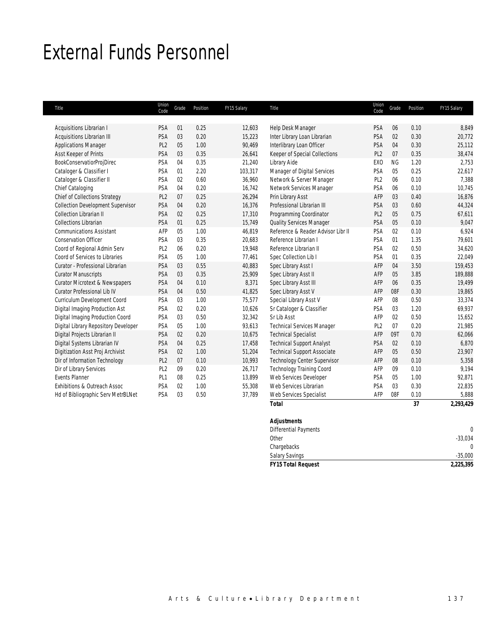### External Funds Personnel

I

| Title                                     | Union<br>Code   | Grade | Position | FY15 Salary | Title                              | Union<br>Code   | Grade     | Position | FY15 Salary |
|-------------------------------------------|-----------------|-------|----------|-------------|------------------------------------|-----------------|-----------|----------|-------------|
|                                           |                 |       |          |             |                                    |                 |           |          |             |
| Acquisitions Librarian I                  | PSA             | 01    | 0.25     | 12,603      | Help Desk Manager                  | PSA             | 06        | 0.10     | 8,849       |
| Acquisitions Librarian III                | PSA             | 03    | 0.20     | 15,223      | Inter Library Loan Librarian       | PSA             | 02        | 0.30     | 20,772      |
| <b>Applications Manager</b>               | PL <sub>2</sub> | 05    | 1.00     | 90,469      | Interlibrary Loan Officer          | PSA             | 04        | 0.30     | 25,112      |
| Asst Keeper of Prints                     | PSA             | 03    | 0.35     | 26,641      | Keeper of Special Collections      | PL <sub>2</sub> | 07        | 0.35     | 38,474      |
| <b>BookConservatiorProjDirec</b>          | PSA             | 04    | 0.35     | 21,240      | Library Aide                       | EX <sub>0</sub> | <b>NG</b> | 1.20     | 2,753       |
| Cataloger & Classifier I                  | PSA             | 01    | 2.20     | 103,317     | Manager of Digital Services        | PSA             | 05        | 0.25     | 22,617      |
| Cataloger & Classifier II                 | PSA             | 02    | 0.60     | 36,960      | Network & Server Manager           | PL <sub>2</sub> | 06        | 0.10     | 7,388       |
| Chief Cataloging                          | PSA             | 04    | 0.20     | 16,742      | Network Services Manager           | PSA             | 06        | 0.10     | 10,745      |
| Chief of Collections Strategy             | PL <sub>2</sub> | 07    | 0.25     | 26,294      | Prin Library Asst                  | AFP             | 03        | 0.40     | 16,876      |
| <b>Collection Development Supervisor</b>  | PSA             | 04    | 0.20     | 16,376      | Professional Librarian III         | PSA             | 03        | 0.60     | 44,324      |
| <b>Collection Librarian II</b>            | PSA             | 02    | 0.25     | 17,310      | Programming Coordinator            | PL <sub>2</sub> | 05        | 0.75     | 67,611      |
| <b>Collections Librarian</b>              | PSA             | 01    | 0.25     | 15,749      | Quality Services Manager           | PSA             | 05        | 0.10     | 9,047       |
| <b>Communications Assistant</b>           | AFP             | 05    | 1.00     | 46,819      | Reference & Reader Advisor Libr II | PSA             | 02        | 0.10     | 6,924       |
| <b>Conservation Officer</b>               | PSA             | 03    | 0.35     | 20,683      | Reference Librarian I              | PSA             | 01        | 1.35     | 79,601      |
| Coord of Regional Admin Serv              | PL <sub>2</sub> | 06    | 0.20     | 19,948      | Reference Librarian II             | PSA             | 02        | 0.50     | 34,620      |
| Coord of Services to Libraries            | PSA             | 05    | 1.00     | 77,461      | Spec Collection Lib I              | PSA             | 01        | 0.35     | 22,049      |
| Curator - Professional Librarian          | PSA             | 03    | 0.55     | 40,883      | Spec Library Asst I                | AFP             | 04        | 3.50     | 159,453     |
| <b>Curator Manuscripts</b>                | PSA             | 03    | 0.35     | 25,909      | Spec Library Asst II               | AFP             | 05        | 3.85     | 189,888     |
| <b>Curator Microtext &amp; Newspapers</b> | PSA             | 04    | 0.10     | 8,371       | Spec Library Asst III              | AFP             | 06        | 0.35     | 19,499      |
| <b>Curator Professional Lib IV</b>        | PSA             | 04    | 0.50     | 41,825      | Spec Library Asst V                | AFP             | 08F       | 0.30     | 19,865      |
| Curriculum Development Coord              | <b>PSA</b>      | 03    | 1.00     | 75,577      | Special Library Asst V             | AFP             | 08        | 0.50     | 33,374      |
| Digital Imaging Production Ast            | PSA             | 02    | 0.20     | 10,626      | Sr Cataloger & Classifier          | PSA             | 03        | 1.20     | 69,937      |
| Digital Imaging Production Coord          | PSA             | 03    | 0.50     | 32,342      | Sr Lib Asst                        | AFP             | 02        | 0.50     | 15,652      |
| Digital Library Repository Developer      | PSA             | 05    | 1.00     | 93,613      | <b>Technical Services Manager</b>  | PL <sub>2</sub> | 07        | 0.20     | 21,985      |
| Digital Projects Librarian II             | PSA             | 02    | 0.20     | 10,675      | <b>Technical Specialist</b>        | AFP             | 09T       | 0.70     | 62,066      |
| Digital Systems Librarian IV              | PSA             | 04    | 0.25     | 17,458      | <b>Technical Support Analyst</b>   | PSA             | 02        | 0.10     | 6,870       |
| Digitization Asst Proj Archivist          | PSA             | 02    | 1.00     | 51,204      | <b>Technical Support Associate</b> | AFP             | 05        | 0.50     | 23,907      |
| Dir of Information Technology             | PL <sub>2</sub> | 07    | 0.10     | 10,993      | Technology Center Supervisor       | AFP             | 08        | 0.10     | 5,358       |
| Dir of Library Services                   | PL <sub>2</sub> | 09    | 0.20     | 26,717      | <b>Technology Training Coord</b>   | AFP             | 09        | 0.10     | 9,194       |
| <b>Events Planner</b>                     | PL <sub>1</sub> | 08    | 0.25     | 13,899      | Web Services Developer             | PSA             | 05        | 1.00     | 92,871      |
| Exhibitions & Outreach Assoc              | <b>PSA</b>      | 02    | 1.00     | 55,308      | Web Services Librarian             | PSA             | 03        | 0.30     | 22,835      |
| Hd of Bibliographic Serv MetrBLNet        | PSA             | 03    | 0.50     | 37,789      | Web Services Specialist            | AFP             | 08F       | 0.10     | 5,888       |
|                                           |                 |       |          |             | <b>Total</b>                       |                 |           | 37       | 2,293,429   |

### *Adjustments*  Differential Payments 0<br>Other 33,034 Other -33,034 Chargebacks 0 Salary Savings -35,000 *FY15 Total Request 2,225,395*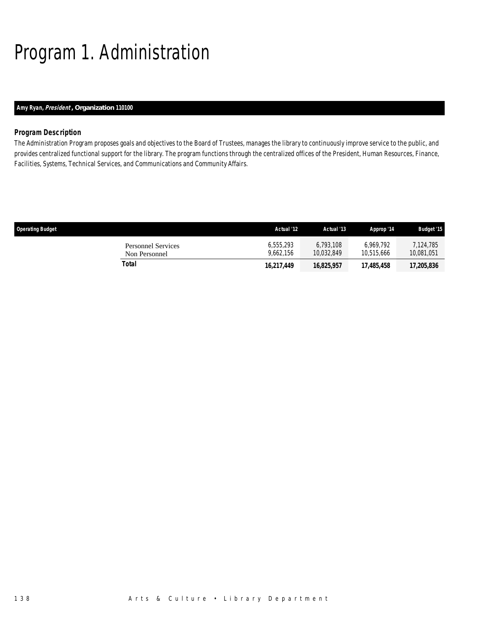# Program 1. Administration

### *Amy Ryan, President , Organization 110100*

### *Program Description*

The Administration Program proposes goals and objectives to the Board of Trustees, manages the library to continuously improve service to the public, and provides centralized functional support for the library. The program functions through the centralized offices of the President, Human Resources, Finance, Facilities, Systems, Technical Services, and Communications and Community Affairs.

| <b>Operating Budget</b>             | Actual '12             | Actual '13              | Approp '14              | <b>Budget '15</b>       |
|-------------------------------------|------------------------|-------------------------|-------------------------|-------------------------|
| Personnel Services<br>Non Personnel | 6,555,293<br>9.662.156 | 6.793.108<br>10.032.849 | 6.969.792<br>10.515.666 | 7.124.785<br>10.081.051 |
| Total                               | 16,217,449             | 16,825,957              | 17,485,458              | 17,205,836              |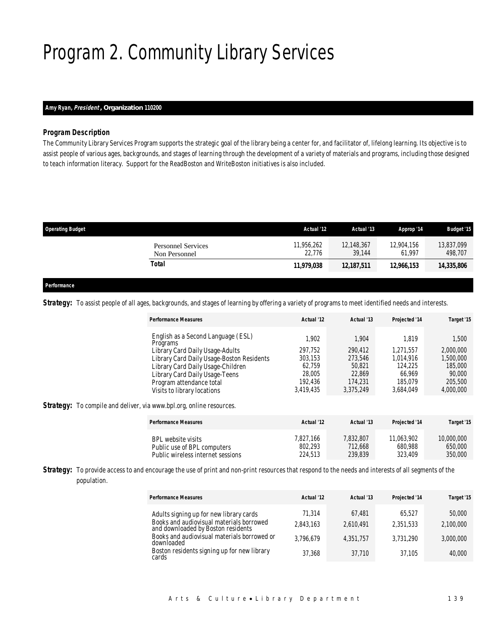# Program 2. Community Library Services

### *Amy Ryan, President , Organization 110200*

### *Program Description*

The Community Library Services Program supports the strategic goal of the library being a center for, and facilitator of, lifelong learning. Its objective is to assist people of various ages, backgrounds, and stages of learning through the development of a variety of materials and programs, including those designed to teach information literacy. Support for the ReadBoston and WriteBoston initiatives is also included.

| <b>Operating Budget</b>                    | Actual '12           | Actual '13           | Approp '14           | <b>Budget '15</b>     |
|--------------------------------------------|----------------------|----------------------|----------------------|-----------------------|
| <b>Personnel Services</b><br>Non Personnel | 11,956,262<br>22.776 | 12,148,367<br>39.144 | 12,904.156<br>61.997 | 13,837,099<br>498,707 |
| Total                                      | 11,979,038           | 12,187,511           | 12.966.153           | 14,335,806            |
|                                            |                      |                      |                      |                       |

### *Performance*

Strategy: To assist people of all ages, backgrounds, and stages of learning by offering a variety of programs to meet identified needs and interests.

| <b>Performance Measures</b>                    | Actual '12 | Actual '13 | Projected '14 | Target '15 |
|------------------------------------------------|------------|------------|---------------|------------|
| English as a Second Language (ESL)<br>Programs | 1.902      | 1,904      | 1.819         | 1.500      |
| Library Card Daily Usage-Adults                | 297.752    | 290.412    | 1.271.557     | 2,000,000  |
| Library Card Daily Usage-Boston Residents      | 303,153    | 273,546    | 1.014.916     | 1,500,000  |
| Library Card Daily Usage-Children              | 62.759     | 50.821     | 124,225       | 185,000    |
| Library Card Daily Usage-Teens                 | 28.005     | 22.869     | 66.969        | 90,000     |
| Program attendance total                       | 192.436    | 174,231    | 185.079       | 205,500    |
| Visits to library locations                    | 3,419,435  | 3,375,249  | 3,684,049     | 4,000,000  |

**Strategy:** To compile and deliver, via www.bpl.org, online resources.

| <b>Performance Measures</b>       | Actual '12 | Actual '13 | <b>Projected '14</b> | Target '15 |
|-----------------------------------|------------|------------|----------------------|------------|
| BPL website visits                | 7.827.166  | 7.832.807  | 11.063.902           | 10,000,000 |
| Public use of BPL computers       | 802.293    | 712.668    | 680.988              | 650,000    |
| Public wireless internet sessions | 224,513    | 239.839    | 323,409              | 350,000    |

**Strategy:** To provide access to and encourage the use of print and non-print resources that respond to the needs and interests of all segments of the population.

| <b>Performance Measures</b>                                                    | Actual '12 | Actual '13 | <b>Projected '14</b> | Target '15 |
|--------------------------------------------------------------------------------|------------|------------|----------------------|------------|
| Adults signing up for new library cards                                        | 71.314     | 67.481     | 65.527               | 50,000     |
| Books and audiovisual materials borrowed<br>and downloaded by Boston residents | 2.843.163  | 2.610.491  | 2.351.533            | 2,100,000  |
| Books and audiovisual materials borrowed or<br>downloaded                      | 3.796.679  | 4.351.757  | 3.731.290            | 3,000,000  |
| Boston residents signing up for new library<br>cards                           | 37.368     | 37.710     | 37.105               | 40,000     |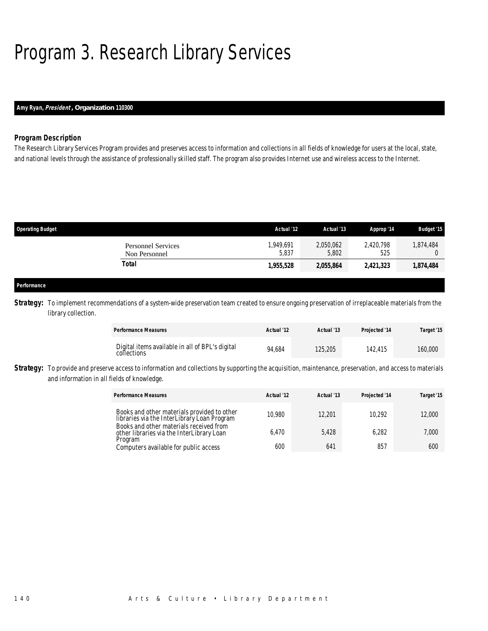## Program 3. Research Library Services

### *Amy Ryan, President , Organization 110300*

### *Program Description*

The Research Library Services Program provides and preserves access to information and collections in all fields of knowledge for users at the local, state, and national levels through the assistance of professionally skilled staff. The program also provides Internet use and wireless access to the Internet.

| <b>Operating Budget</b>                    | Actual '12        | Actual '13         | Approp '14       | <b>Budget '15</b> |
|--------------------------------------------|-------------------|--------------------|------------------|-------------------|
| <b>Personnel Services</b><br>Non Personnel | .949.691<br>5,837 | 2,050,062<br>5,802 | 2,420,798<br>525 | 1,874,484         |
| Total                                      | 1,955,528         | 2,055,864          | 2,421,323        | 1,874,484         |
|                                            |                   |                    |                  |                   |
| Performance                                |                   |                    |                  |                   |

**Strategy:** To implement recommendations of a system-wide preservation team created to ensure ongoing preservation of irreplaceable materials from the library collection.

| <b>Performance Measures</b>                                    | Actual '12 | Actual '13 | Projected '14 | Target '15 |
|----------------------------------------------------------------|------------|------------|---------------|------------|
| Digital items available in all of BPL's digital<br>collections | 94.684     | 125,205    | 142.415       | 160,000    |

**Strategy:** To provide and preserve access to information and collections by supporting the acquisition, maintenance, preservation, and access to materials and information in all fields of knowledge.

| <b>Performance Measures</b>                                                                     | Actual '12 | Actual '13 | Projected '14 | Target '15 |
|-------------------------------------------------------------------------------------------------|------------|------------|---------------|------------|
| Books and other materials provided to other<br>libraries via the InterLibrary Loan Program      | 10.980     | 12,201     | 10.292        | 12,000     |
| Books and other materials received from<br>other libraries via the InterLibrary Loan<br>Program | 6.470      | 5.428      | 6.282         | 7,000      |
| Computers available for public access                                                           | 600        | 641        | 857           | 600        |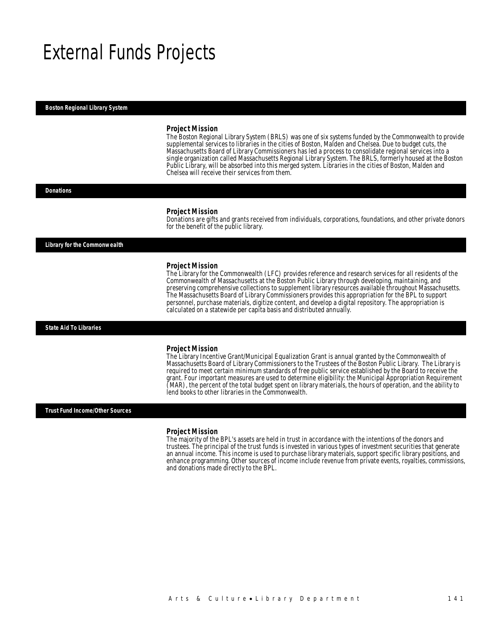### External Funds Projects

#### *Boston Regional Library System*

#### *Project Mission*

The Boston Regional Library System (BRLS) was one of six systems funded by the Commonwealth to provide supplemental services to libraries in the cities of Boston, Malden and Chelsea. Due to budget cuts, the Massachusetts Board of Library Commissioners has led a process to consolidate regional services into a single organization called Massachusetts Regional Library System. The BRLS, formerly housed at the Boston Public Library, will be absorbed into this merged system. Libraries in the cities of Boston, Malden and Chelsea will receive their services from them.

#### *Donations*

#### *Project Mission*

Donations are gifts and grants received from individuals, corporations, foundations, and other private donors for the benefit of the public library.

*Library for the Commonwealth* 

#### *Project Mission*

The Library for the Commonwealth (LFC) provides reference and research services for all residents of the Commonwealth of Massachusetts at the Boston Public Library through developing, maintaining, and preserving comprehensive collections to supplement library resources available throughout Massachusetts. The Massachusetts Board of Library Commissioners provides this appropriation for the BPL to support personnel, purchase materials, digitize content, and develop a digital repository. The appropriation is calculated on a statewide per capita basis and distributed annually.

*State Aid To Libraries* 

#### *Project Mission*

The Library Incentive Grant/Municipal Equalization Grant is annual granted by the Commonwealth of Massachusetts Board of Library Commissioners to the Trustees of the Boston Public Library. The Library is required to meet certain minimum standards of free public service established by the Board to receive the grant. Four important measures are used to determine eligibility: the Municipal Appropriation Requirement (MAR), the percent of the total budget spent on library materials, the hours of operation, and the ability to lend books to other libraries in the Commonwealth.

*Trust Fund Income/Other Sources* 

#### *Project Mission*

The majority of the BPL's assets are held in trust in accordance with the intentions of the donors and trustees. The principal of the trust funds is invested in various types of investment securities that generate an annual income. This income is used to purchase library materials, support specific library positions, and enhance programming. Other sources of income include revenue from private events, royalties, commissions, and donations made directly to the BPL.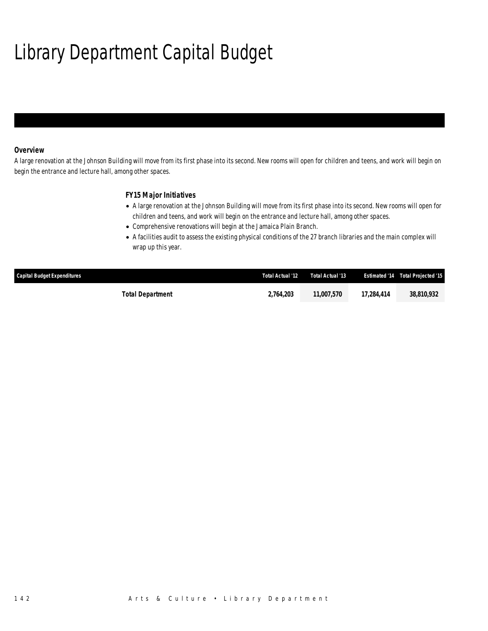# Library Department Capital Budget

### *Overview*

A large renovation at the Johnson Building will move from its first phase into its second. New rooms will open for children and teens, and work will begin on begin the entrance and lecture hall, among other spaces.

### *FY15 Major Initiatives*

- A large renovation at the Johnson Building will move from its first phase into its second. New rooms will open for children and teens, and work will begin on the entrance and lecture hall, among other spaces.
- Comprehensive renovations will begin at the Jamaica Plain Branch.
- A facilities audit to assess the existing physical conditions of the 27 branch libraries and the main complex will wrap up this year.

| Capital Budget Expenditures | Total Actual '12 | Total Actual '13         |            | <b>Estimated '14 Total Projected '15</b> |
|-----------------------------|------------------|--------------------------|------------|------------------------------------------|
| <b>Total Department</b>     | 2.764.203        | <i><b>11.007.570</b></i> | 17,284,414 | 38.810.932                               |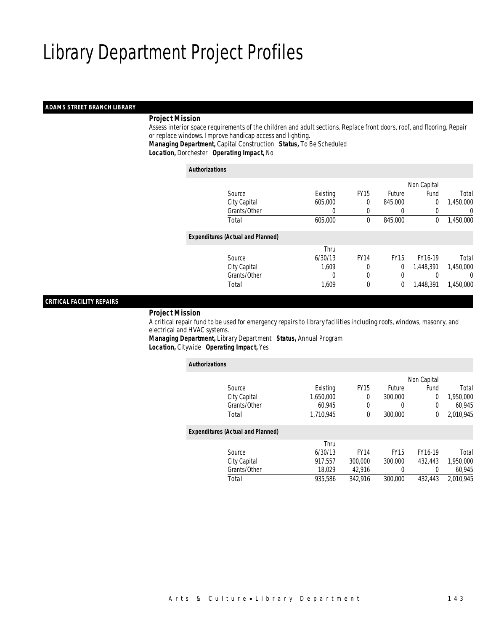### *ADAMS STREET BRANCH LIBRARY*

### *Project Mission*

 Assess interior space requirements of the children and adult sections. Replace front doors, roof, and flooring. Repair or replace windows. Improve handicap access and lighting. *Managing Department,* Capital Construction *Status,* To Be Scheduled

*Location,* Dorchester *Operating Impact,* No

#### *Authorizations*

|                                          |          |             |               | Non Capital    |           |
|------------------------------------------|----------|-------------|---------------|----------------|-----------|
| Source                                   | Existing | <b>FY15</b> | <b>Future</b> | Fund           | Total     |
| City Capital                             | 605,000  | $\theta$    | 845,000       | $\overline{0}$ | 1,450,000 |
| Grants/Other                             | 0        |             | $\left($      | 0              | 0         |
| Total                                    | 605,000  | 0           | 845,000       | 0              | 1,450,000 |
| <b>Expenditures (Actual and Planned)</b> |          |             |               |                |           |
|                                          | Thru     |             |               |                |           |
| Source                                   | 6/30/13  | <b>FY14</b> | <b>FY15</b>   | FY16-19        | Total     |
| City Capital                             | 1.609    | 0           | 0             | 1,448,391      | 1,450,000 |
| Grants/Other                             | 0        | 0           | 0             |                | 0         |
| Total                                    | 1,609    | $\theta$    | 0             | 1,448,391      | 1,450,000 |
|                                          |          |             |               |                |           |

### *CRITICAL FACILITY REPAIRS*

*Project Mission*

 A critical repair fund to be used for emergency repairs to library facilities including roofs, windows, masonry, and electrical and HVAC systems.

*Managing Department,* Library Department *Status,* Annual Program*Location,* Citywide *Operating Impact,* Yes

| <b>Authorizations</b>                    |           |             |             |             |           |
|------------------------------------------|-----------|-------------|-------------|-------------|-----------|
|                                          |           |             |             | Non Capital |           |
| Source                                   | Existing  | <b>FY15</b> | Future      | Fund        | Total     |
| City Capital                             | 1.650.000 | 0           | 300,000     | 0           | 1,950,000 |
| Grants/Other                             | 60,945    | 0           | $\left($    | $\Omega$    | 60,945    |
| Total                                    | 1.710.945 | 0           | 300,000     | 0           | 2,010,945 |
| <b>Expenditures (Actual and Planned)</b> |           |             |             |             |           |
|                                          | Thru      |             |             |             |           |
| Source                                   | 6/30/13   | <b>FY14</b> | <b>FY15</b> | FY16-19     | Total     |
| City Capital                             | 917.557   | 300,000     | 300,000     | 432,443     | 1,950,000 |
| Grants/Other                             | 18.029    | 42,916      | 0           | 0           | 60,945    |
| Total                                    | 935.586   | 342.916     | 300,000     | 432,443     | 2.010.945 |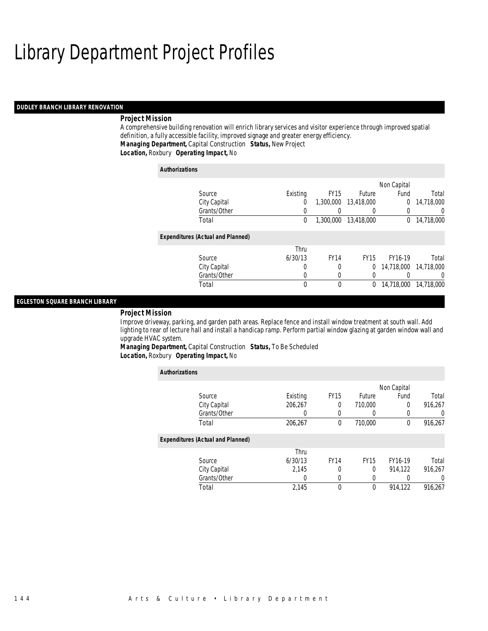#### *DUDLEY BRANCH LIBRARY RENOVATION*

### *Project Mission*

A comprehensive building renovation will enrich library services and visitor experience through improved spatial definition, a fully accessible facility, improved signage and greater energy efficiency. *Managing Department,* Capital Construction *Status,* New Project*Location,* Roxbury *Operating Impact,* No

| <b>Authorizations</b>                    |          |             |             |                |            |
|------------------------------------------|----------|-------------|-------------|----------------|------------|
|                                          |          |             |             | Non Capital    |            |
| Source                                   | Existing | <b>FY15</b> | Future      | Fund           | Total      |
| City Capital                             | 0        | 1,300,000   | 13,418,000  | $\overline{0}$ | 14,718,000 |
| Grants/Other                             | 0        |             | 0           | 0              | $\Omega$   |
| Total                                    | 0        | 1,300,000   | 13,418,000  | $\mathbf{0}$   | 14,718,000 |
| <b>Expenditures (Actual and Planned)</b> |          |             |             |                |            |
|                                          | Thru     |             |             |                |            |
| Source                                   | 6/30/13  | <b>FY14</b> | <b>FY15</b> | FY16-19        | Total      |
| City Capital                             | 0        | 0           | $\Omega$    | 14,718,000     | 14.718.000 |
| Grants/Other                             | 0        | 0           | 0           |                | $\Omega$   |
| Total                                    | 0        | $\theta$    | 0           | 14,718,000     | 14,718,000 |

### *EGLESTON SQUARE BRANCH LIBRARY*

#### *Project Mission*

Improve driveway, parking, and garden path areas. Replace fence and install window treatment at south wall. Add lighting to rear of lecture hall and install a handicap ramp. Perform partial window glazing at garden window wall and upgrade HVAC system.

*Managing Department,* Capital Construction *Status,* To Be Scheduled*Location,* Roxbury *Operating Impact,* No

| <b>Authorizations</b>                    |          |             |             |             |          |
|------------------------------------------|----------|-------------|-------------|-------------|----------|
|                                          |          |             |             | Non Capital |          |
| Source                                   | Existing | <b>FY15</b> | Future      | Fund        | Total    |
| City Capital                             | 206.267  | 0           | 710,000     | 0           | 916.267  |
| Grants/Other                             | 0        |             | 0           |             | $\Omega$ |
| Total                                    | 206,267  | 0           | 710,000     | $\Omega$    | 916,267  |
| <b>Expenditures (Actual and Planned)</b> |          |             |             |             |          |
|                                          | Thru     |             |             |             |          |
| Source                                   | 6/30/13  | <b>FY14</b> | <b>FY15</b> | FY16-19     | Total    |
| City Capital                             | 2.145    | 0           | 0           | 914.122     | 916.267  |
| Grants/Other                             | 0        | $\Omega$    | 0           |             | $\Omega$ |
| Total                                    | 2,145    | $\Omega$    | $\theta$    | 914.122     | 916.267  |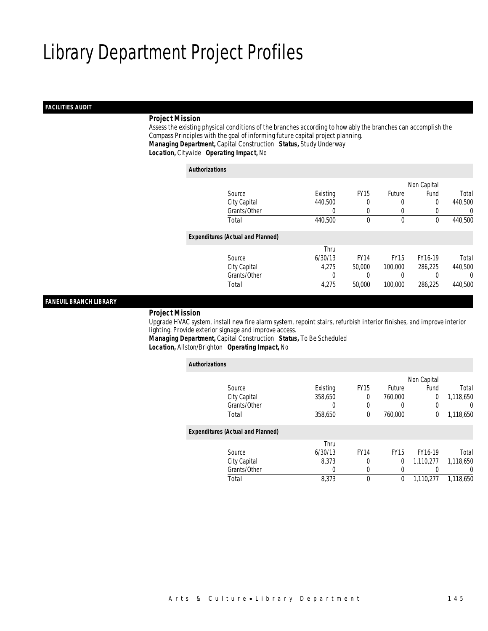### *FACILITIES AUDIT*

### *Project Mission*

 Assess the existing physical conditions of the branches according to how ably the branches can accomplish the Compass Principles with the goal of informing future capital project planning. *Managing Department,* Capital Construction *Status,* Study Underway*Location,* Citywide *Operating Impact,* No

*Authorizations*

|                                          |          |             |             | Non Capital |         |
|------------------------------------------|----------|-------------|-------------|-------------|---------|
| Source                                   | Existing | <b>FY15</b> | Future      | Fund        | Total   |
| City Capital                             | 440,500  |             | 0           | 0           | 440,500 |
| Grants/Other                             |          |             | 0           |             | 0       |
| Total                                    | 440,500  | 0           | $\mathbf 0$ | 0           | 440,500 |
| <b>Expenditures (Actual and Planned)</b> |          |             |             |             |         |
|                                          | Thru     |             |             |             |         |
| Source                                   | 6/30/13  | <b>FY14</b> | <b>FY15</b> | FY16-19     | Total   |
| City Capital                             | 4.275    | 50,000      | 100,000     | 286,225     | 440,500 |
| Grants/Other                             | 0        |             |             |             | 0       |
| Total                                    | 4,275    | 50,000      | 100,000     | 286,225     | 440,500 |
|                                          |          |             |             |             |         |

### *FANEUIL BRANCH LIBRARY*

#### *Project Mission*

 Upgrade HVAC system, install new fire alarm system, repoint stairs, refurbish interior finishes, and improve interior lighting. Provide exterior signage and improve access.

*Managing Department,* Capital Construction *Status,* To Be Scheduled*Location,* Allston/Brighton *Operating Impact,* No

| <b>Authorizations</b>                    |          |             |             |             |           |
|------------------------------------------|----------|-------------|-------------|-------------|-----------|
|                                          |          |             |             | Non Capital |           |
| Source                                   | Existing | <b>FY15</b> | Future      | Fund        | Total     |
| City Capital                             | 358.650  | 0           | 760,000     | 0           | 1,118,650 |
| Grants/Other                             | 0        | 0           | 0           | 0           | U         |
| Total                                    | 358,650  | 0           | 760,000     | 0           | 1,118,650 |
| <b>Expenditures (Actual and Planned)</b> |          |             |             |             |           |
|                                          | Thru     |             |             |             |           |
| Source                                   | 6/30/13  | <b>FY14</b> | <b>FY15</b> | FY16-19     | Total     |
| City Capital                             | 8.373    | 0           | 0           | 1,110,277   | 1,118,650 |
| Grants/Other                             | 0        | 0           | 0           |             | 0         |
| Total                                    | 8.373    | 0           | 0           | 1.110.277   | 1.118.650 |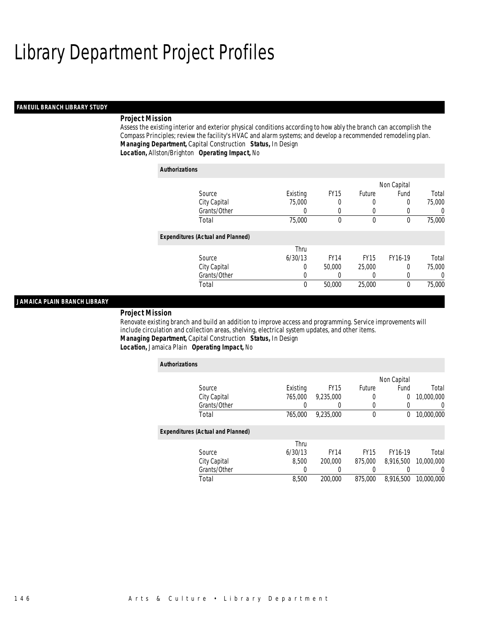### *FANEUIL BRANCH LIBRARY STUDY*

### *Project Mission*

Assess the existing interior and exterior physical conditions according to how ably the branch can accomplish the Compass Principles; review the facility's HVAC and alarm systems; and develop a recommended remodeling plan. *Managing Department,* Capital Construction *Status,* In Design*Location,* Allston/Brighton *Operating Impact,* No

| <b>Authorizations</b>                    |          |             |             |             |          |
|------------------------------------------|----------|-------------|-------------|-------------|----------|
|                                          |          |             |             | Non Capital |          |
| Source                                   | Existing | <b>FY15</b> | Future      | Fund        | Total    |
| City Capital                             | 75,000   | 0           | 0           | 0           | 75,000   |
| Grants/Other                             | O        | 0           | O           |             | $\Omega$ |
| Total                                    | 75,000   | $\theta$    | $\mathbf 0$ | $\Omega$    | 75,000   |
| <b>Expenditures (Actual and Planned)</b> |          |             |             |             |          |
|                                          | Thru     |             |             |             |          |
| Source                                   | 6/30/13  | <b>FY14</b> | <b>FY15</b> | FY16-19     | Total    |
| City Capital                             | 0        | 50,000      | 25,000      | 0           | 75,000   |
| Grants/Other                             | 0        | 0           | 0           | 0           | $\Omega$ |
| Total                                    | 0        | 50,000      | 25,000      | $\Omega$    | 75,000   |

### *JAMAICA PLAIN BRANCH LIBRARY*

#### *Project Mission*

Renovate existing branch and build an addition to improve access and programming. Service improvements will include circulation and collection areas, shelving, electrical system updates, and other items. *Managing Department,* Capital Construction *Status,* In Design*Location,* Jamaica Plain *Operating Impact,* No

| <b>Authorizations</b>                    |          |                  |             |             |                  |
|------------------------------------------|----------|------------------|-------------|-------------|------------------|
|                                          |          |                  |             | Non Capital |                  |
| Source                                   | Existing | <b>FY15</b>      | Future      | Fund        | Total            |
| City Capital                             | 765,000  | 9.235.000        | 0           | 0           | 10,000,000       |
| Grants/Other                             | 0        | $\left( \right)$ | $\left($    | 0           | $\left( \right)$ |
| Total                                    | 765,000  | 9.235.000        | $\mathbf 0$ | 0           | 10,000,000       |
|                                          |          |                  |             |             |                  |
| <b>Expenditures (Actual and Planned)</b> |          |                  |             |             |                  |
|                                          | Thru     |                  |             |             |                  |
| Source                                   | 6/30/13  | <b>FY14</b>      | <b>FY15</b> | FY16-19     | Total            |
| City Capital                             | 8.500    | 200,000          | 875,000     | 8.916.500   | 10,000,000       |
| Grants/Other                             | 0        |                  |             |             | $\left( \right)$ |
| Total                                    | 8.500    | 200.000          | 875.000     | 8.916.500   | 10.000.000       |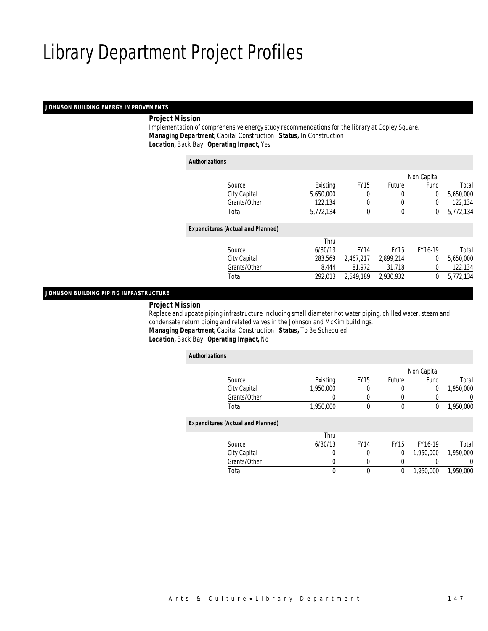### *JOHNSON BUILDING ENERGY IMPROVEMENTS*

### *Project Mission*

 Implementation of comprehensive energy study recommendations for the library at Copley Square. *Managing Department,* Capital Construction *Status,* In Construction*Location,* Back Bay *Operating Impact,* Yes

*Authorizations*

|                                          |           |             |              | Non Capital    |           |
|------------------------------------------|-----------|-------------|--------------|----------------|-----------|
| Source                                   | Existing  | <b>FY15</b> | Future       | Fund           | Total     |
| City Capital                             | 5,650,000 | 0           | 0            | $\theta$       | 5,650,000 |
| Grants/Other                             | 122,134   | 0           | 0            | 0              | 122,134   |
| Total                                    | 5,772,134 | $\theta$    | $\mathbf{0}$ | 0              | 5,772,134 |
|                                          |           |             |              |                |           |
| <b>Expenditures (Actual and Planned)</b> |           |             |              |                |           |
|                                          | Thru      |             |              |                |           |
| Source                                   | 6/30/13   | <b>FY14</b> | <b>FY15</b>  | FY16-19        | Total     |
| City Capital                             | 283,569   | 2,467,217   | 2,899,214    | $\overline{0}$ | 5,650,000 |
| Grants/Other                             | 8.444     | 81.972      | 31.718       | $\overline{0}$ | 122,134   |
| Total                                    | 292.013   | 2.549.189   | 2.930.932    | 0              | 5,772,134 |
|                                          |           |             |              |                |           |

*JOHNSON BUILDING PIPING INFRASTRUCTURE* 

#### *Project Mission*

 Replace and update piping infrastructure including small diameter hot water piping, chilled water, steam and condensate return piping and related valves in the Johnson and McKim buildings. *Managing Department,* Capital Construction *Status,* To Be Scheduled

### *Location,* Back Bay *Operating Impact,* No

| <b>Authorizations</b> |                                          |           |             |             |             |           |
|-----------------------|------------------------------------------|-----------|-------------|-------------|-------------|-----------|
|                       |                                          |           |             |             | Non Capital |           |
|                       | Source                                   | Existing  | <b>FY15</b> | Future      | Fund        | Total     |
|                       | City Capital                             | 1,950,000 |             |             | $\Omega$    | 1,950,000 |
|                       | Grants/Other                             | 0         |             |             |             | 0         |
|                       | Total                                    | 1,950,000 | $\theta$    | 0           | 0           | 1,950,000 |
|                       | <b>Expenditures (Actual and Planned)</b> |           |             |             |             |           |
|                       |                                          | Thru      |             |             |             |           |
|                       | Source                                   | 6/30/13   | <b>FY14</b> | <b>FY15</b> | FY16-19     | Total     |
|                       | City Capital                             | 0         | 0           | 0           | 1,950,000   | 1,950,000 |
|                       | Grants/Other                             | 0         |             | 0           |             | 0         |
|                       | Total                                    | 0         | $\theta$    | 0           | 1.950.000   | 1,950,000 |
|                       |                                          |           |             |             |             |           |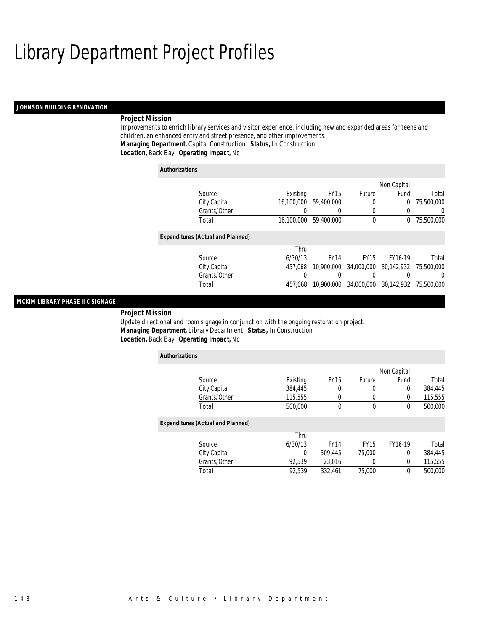### *JOHNSON BUILDING RENOVATION*

### *Project Mission*

Improvements to enrich library services and visitor experience, including new and expanded areas for teens and children, an enhanced entry and street presence, and other improvements. *Managing Department,* Capital Construction *Status,* In Construction*Location,* Back Bay *Operating Impact,* No

| <b>Authorizations</b>                    |            |                  |             |             |                       |
|------------------------------------------|------------|------------------|-------------|-------------|-----------------------|
|                                          |            |                  |             | Non Capital |                       |
| Source                                   | Existing   | FY <sub>15</sub> | Future      | Fund        | Total                 |
| City Capital                             | 16,100,000 | 59,400,000       | $\left($    | $\Omega$    | 75,500,000            |
| Grants/Other                             |            | 0                | O           |             | $\left( \right)$      |
| Total                                    | 16,100,000 | 59,400,000       | 0           | 0           | 75,500,000            |
| <b>Expenditures (Actual and Planned)</b> |            |                  |             |             |                       |
|                                          | Thru       |                  |             |             |                       |
| Source                                   | 6/30/13    | <b>FY14</b>      | <b>FY15</b> | FY16-19     | Total                 |
| City Capital                             | 457.068    | 10,900,000       | 34,000,000  |             | 30.142.932 75.500.000 |
| Grants/Other                             | 0          |                  |             |             |                       |
| Total                                    | 457.068    | 10,900,000       | 34,000,000  | 30.142.932  | 75,500,000            |

### *MCKIM LIBRARY PHASE II C SIGNAGE*

*Project Mission* 

Update directional and room signage in conjunction with the ongoing restoration project. *Managing Department,* Library Department *Status,* In Construction*Location,* Back Bay *Operating Impact,* No

| <b>Authorizations</b>                    |          |             |             |                |         |
|------------------------------------------|----------|-------------|-------------|----------------|---------|
|                                          |          |             |             | Non Capital    |         |
| Source                                   | Existing | <b>FY15</b> | Future      | Fund           | Total   |
| City Capital                             | 384,445  | 0           | 0           | $\overline{0}$ | 384,445 |
| Grants/Other                             | 115,555  | 0           | 0           | 0              | 115,555 |
| Total                                    | 500,000  | $\theta$    | 0           | $\theta$       | 500,000 |
| <b>Expenditures (Actual and Planned)</b> |          |             |             |                |         |
|                                          | Thru     |             |             |                |         |
| Source                                   | 6/30/13  | <b>FY14</b> | <b>FY15</b> | FY16-19        | Total   |
| City Capital                             | $\Omega$ | 309,445     | 75,000      | $\overline{0}$ | 384,445 |
| Grants/Other                             | 92,539   | 23,016      | 0           | $\overline{0}$ | 115,555 |
| Total                                    | 92.539   | 332.461     | 75,000      | $\theta$       | 500,000 |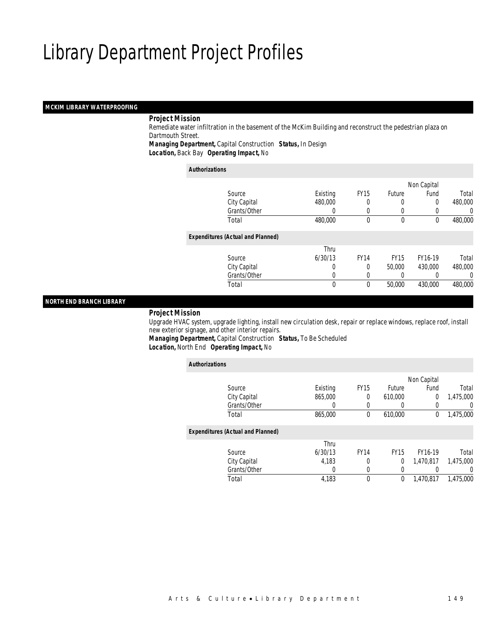### *MCKIM LIBRARY WATERPROOFING*

### *Project Mission*

 Remediate water infiltration in the basement of the McKim Building and reconstruct the pedestrian plaza on Dartmouth Street.

*Managing Department,* Capital Construction *Status,* In Design*Location,* Back Bay *Operating Impact,* No

#### *Authorizations*

|                                          |          |             |               | Non Capital |         |
|------------------------------------------|----------|-------------|---------------|-------------|---------|
| Source                                   | Existing | <b>FY15</b> | <b>Future</b> | Fund        | Total   |
| City Capital                             | 480,000  |             |               | 0           | 480,000 |
| Grants/Other                             | 0        | 0           | $\left($      |             | 0       |
| Total                                    | 480,000  | $\theta$    | $\theta$      | 0           | 480,000 |
| <b>Expenditures (Actual and Planned)</b> |          |             |               |             |         |
|                                          | Thru     |             |               |             |         |
| Source                                   | 6/30/13  | <b>FY14</b> | <b>FY15</b>   | FY16-19     | Total   |
| City Capital                             | 0        | 0           | 50,000        | 430,000     | 480,000 |
| Grants/Other                             | 0        | 0           |               |             | 0       |
| Total                                    | 0        | $\theta$    | 50,000        | 430,000     | 480,000 |
|                                          |          |             |               |             |         |

### *NORTH END BRANCH LIBRARY*

#### *Project Mission*

 Upgrade HVAC system, upgrade lighting, install new circulation desk, repair or replace windows, replace roof, install new exterior signage, and other interior repairs.

*Managing Department,* Capital Construction *Status,* To Be Scheduled*Location,* North End *Operating Impact,* No

| <b>Authorizations</b>                    |          |             |               |             |           |
|------------------------------------------|----------|-------------|---------------|-------------|-----------|
|                                          |          |             |               | Non Capital |           |
| Source                                   | Existing | <b>FY15</b> | <b>Future</b> | Fund        | Total     |
| City Capital                             | 865,000  | 0           | 610,000       | 0           | 1.475.000 |
| Grants/Other                             | 0        | $\left($    | 0             | 0           | 0         |
| Total                                    | 865,000  | 0           | 610,000       | 0           | 1,475,000 |
| <b>Expenditures (Actual and Planned)</b> |          |             |               |             |           |
|                                          | Thru     |             |               |             |           |
| Source                                   | 6/30/13  | <b>FY14</b> | <b>FY15</b>   | FY16-19     | Total     |
| City Capital                             | 4,183    | 0           | 0             | 1,470,817   | 1,475,000 |
| Grants/Other                             | 0        | 0           | 0             |             | 0         |
| Total                                    | 4,183    | 0           | 0             | 1.470.817   | 1.475.000 |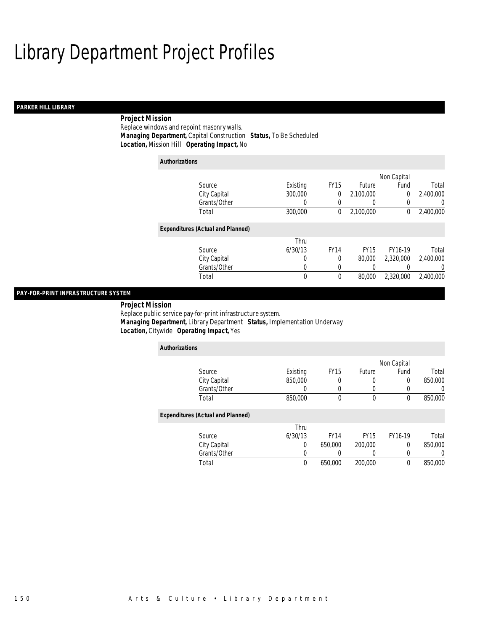### *PARKER HILL LIBRARY*

### *Project Mission*

Replace windows and repoint masonry walls. *Managing Department,* Capital Construction *Status,* To Be Scheduled*Location,* Mission Hill *Operating Impact,* No

| <b>Authorizations</b> |                                          |          |             |             |             |           |
|-----------------------|------------------------------------------|----------|-------------|-------------|-------------|-----------|
|                       |                                          |          |             |             | Non Capital |           |
|                       | Source                                   | Existing | <b>FY15</b> | Future      | Fund        | Total     |
|                       | City Capital                             | 300,000  | 0           | 2,100,000   | 0           | 2,400,000 |
|                       | Grants/Other                             | 0        | 0           |             | 0           | 0         |
|                       | Total                                    | 300,000  | 0           | 2,100,000   | 0           | 2,400,000 |
|                       | <b>Expenditures (Actual and Planned)</b> |          |             |             |             |           |
|                       |                                          | Thru     |             |             |             |           |
|                       | Source                                   | 6/30/13  | <b>FY14</b> | <b>FY15</b> | FY16-19     | Total     |
|                       | City Capital                             | 0        | $\Omega$    | 80,000      | 2,320,000   | 2.400.000 |
|                       | Grants/Other                             | 0        | 0           |             |             | 0         |
|                       | Total                                    | 0        | $\theta$    | 80,000      | 2,320,000   | 2,400,000 |

### *PAY-FOR-PRINT INFRASTRUCTURE SYSTEM*

 *Project Mission* Replace public service pay-for-print infrastructure system. *Managing Department,* Library Department *Status,* Implementation Underway*Location,* Citywide *Operating Impact,* Yes

| <b>Authorizations</b>                    |          |             |             |             |         |
|------------------------------------------|----------|-------------|-------------|-------------|---------|
|                                          |          |             |             | Non Capital |         |
| Source                                   | Existing | <b>FY15</b> | Future      | Fund        | Total   |
| City Capital                             | 850,000  | 0           | 0           | 0           | 850,000 |
| Grants/Other                             |          | 0           | 0           | 0           |         |
| Total                                    | 850,000  | 0           | 0           | 0           | 850,000 |
| <b>Expenditures (Actual and Planned)</b> |          |             |             |             |         |
|                                          | Thru     |             |             |             |         |
| Source                                   | 6/30/13  | <b>FY14</b> | <b>FY15</b> | FY16-19     | Total   |
| City Capital                             | 0        | 650,000     | 200,000     | $\Omega$    | 850,000 |
| Grants/Other                             |          | 0           | 0           | 0           |         |
| Total                                    | $\theta$ | 650.000     | 200,000     | 0           | 850,000 |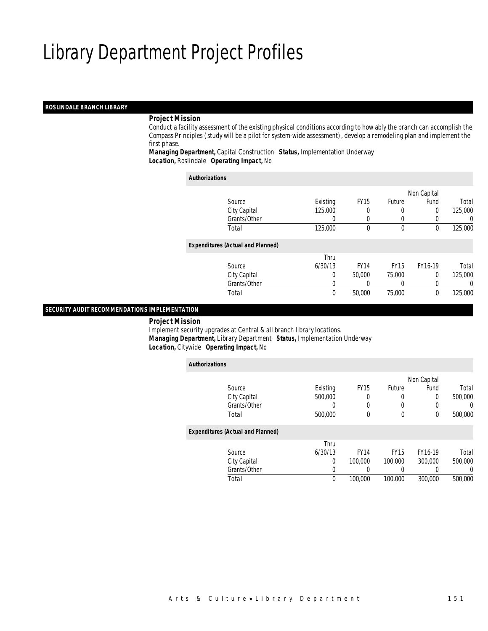### *ROSLINDALE BRANCH LIBRARY*

### *Project Mission*

 Conduct a facility assessment of the existing physical conditions according to how ably the branch can accomplish the Compass Principles (study will be a pilot for system-wide assessment), develop a remodeling plan and implement the first phase.

*Managing Department,* Capital Construction *Status,* Implementation Underway*Location,* Roslindale *Operating Impact,* No

| <b>Authorizations</b>                    |          |             |               |             |         |
|------------------------------------------|----------|-------------|---------------|-------------|---------|
|                                          |          |             |               | Non Capital |         |
| Source                                   | Existing | <b>FY15</b> | <b>Future</b> | Fund        | Total   |
| City Capital                             | 125,000  | 0           | 0             | 0           | 125,000 |
| Grants/Other                             |          | 0           | 0             | 0           | 0       |
| Total                                    | 125,000  | $\Omega$    | 0             | 0           | 125,000 |
| <b>Expenditures (Actual and Planned)</b> |          |             |               |             |         |
|                                          | Thru     |             |               |             |         |
| Source                                   | 6/30/13  | <b>FY14</b> | <b>FY15</b>   | FY16-19     | Total   |
| City Capital                             | 0        | 50,000      | 75,000        | 0           | 125,000 |
| Grants/Other                             | 0        | 0           | 0             | 0           | 0       |
| Total                                    | 0        | 50,000      | 75,000        | 0           | 125,000 |

#### *SECURITY AUDIT RECOMMENDATIONS IMPLEMENTATION*

*Project Mission*

 Implement security upgrades at Central & all branch library locations. *Managing Department,* Library Department *Status,* Implementation Underway*Location,* Citywide *Operating Impact,* No

| <b>Authorizations</b>                    |                  |             |               |                  |          |
|------------------------------------------|------------------|-------------|---------------|------------------|----------|
|                                          |                  |             |               | Non Capital      |          |
| Source                                   | Existing         | <b>FY15</b> | <b>Future</b> | Fund             | Total    |
| City Capital                             | 500,000          | 0           | 0             | 0                | 500,000  |
| Grants/Other                             | $\left( \right)$ | $\Omega$    | 0             | $\left( \right)$ | $\Omega$ |
| Total                                    | 500,000          | 0           | 0             | 0                | 500,000  |
| <b>Expenditures (Actual and Planned)</b> |                  |             |               |                  |          |
|                                          | Thru             |             |               |                  |          |
| Source                                   | 6/30/13          | <b>FY14</b> | <b>FY15</b>   | FY16-19          | Total    |
| City Capital                             | 0                | 100,000     | 100,000       | 300,000          | 500,000  |
| Grants/Other                             | 0                |             | 0             |                  | $\Omega$ |
| Total                                    | 0                | 100,000     | 100,000       | 300,000          | 500,000  |